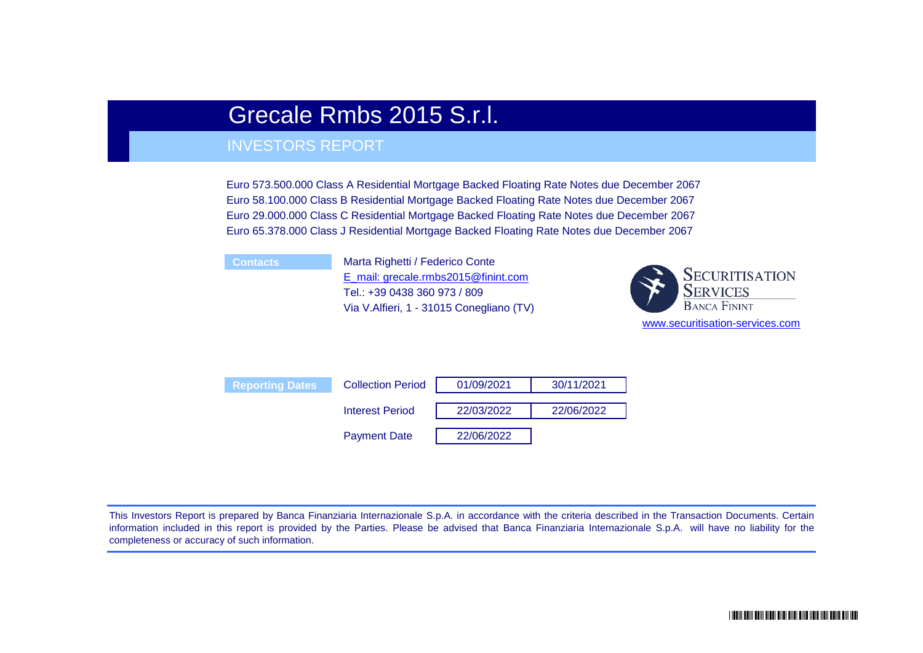# Grecale Rmbs 2015 S.r.l.

## INVESTORS REPORT

Euro 573.500.000 Class A Residential Mortgage Backed Floating Rate Notes due December 2067 Euro 58.100.000 Class B Residential Mortgage Backed Floating Rate Notes due December 2067 Euro 29.000.000 Class C Residential Mortgage Backed Floating Rate Notes due December 2067 Euro 65.378.000 Class J Residential Mortgage Backed Floating Rate Notes due December 2067

**Contacts** Marta Righetti / Federico Conte E\_mail: grecale.rmbs2015@finint.com [Tel.: +39 0438 360 973 / 809](mailto:marche_m5@finint.it) Via V.Alfieri, 1 - 31015 Conegliano (TV)



| <b>Reporting Dates</b> | <b>Collection Period</b> | 01/09/2021 | 30/11/2021 |
|------------------------|--------------------------|------------|------------|
|                        | <b>Interest Period</b>   | 22/03/2022 | 22/06/2022 |
|                        | <b>Payment Date</b>      | 22/06/2022 |            |

This Investors Report is prepared by Banca Finanziaria Internazionale S.p.A. in accordance with the criteria described in the Transaction Documents. Certain information included in this report is provided by the Parties. Please be advised that Banca Finanziaria Internazionale S.p.A. will have no liability for the completeness or accuracy of such information.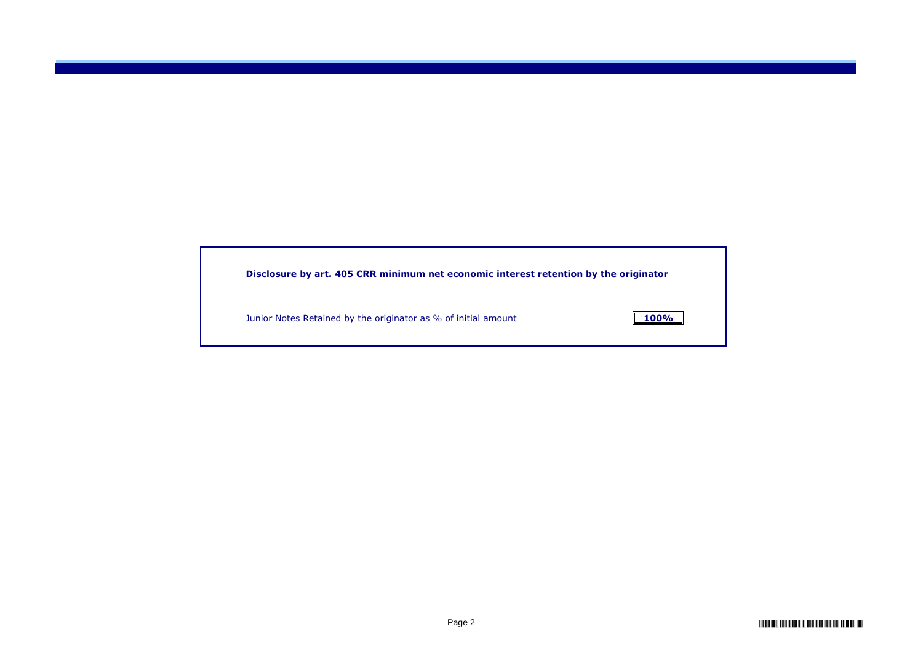| Disclosure by art. 405 CRR minimum net economic interest retention by the originator |             |
|--------------------------------------------------------------------------------------|-------------|
| Junior Notes Retained by the originator as % of initial amount                       | <b>100%</b> |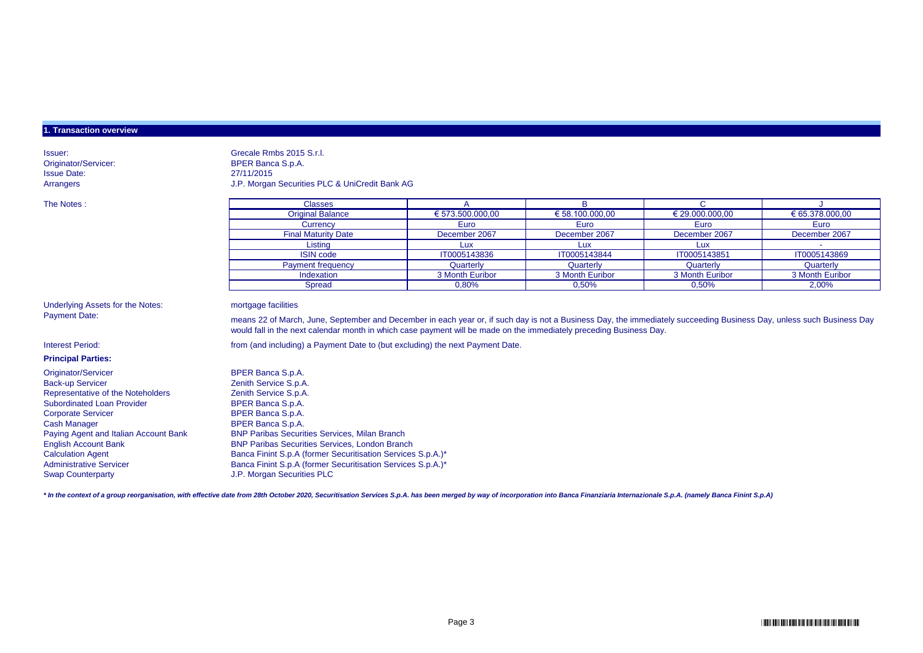#### **1. Transaction overview**

Issue Date: 27/11/2015

Issuer: Grecale Rmbs 2015 S.r.l. Originator/Servicer: BPER Banca S.p.A. Arrangers J.P. Morgan Securities PLC & UniCredit Bank AG

| The Notes : | <b>Classes</b>             |                  |                          |                     |                 |
|-------------|----------------------------|------------------|--------------------------|---------------------|-----------------|
|             | <b>Original Balance</b>    | € 573.500.000,00 | $\epsilon$ 58.100.000,00 | $\in$ 29.000.000,00 | € 65.378.000,00 |
|             | Currency                   | Euro             | Euro                     | Euro                | Euro            |
|             | <b>Final Maturity Date</b> | December 2067    | December 2067            | December 2067       | December 2067   |
|             | Listing                    | ∟ux              | Lux                      |                     |                 |
|             | <b>ISIN code</b>           | IT0005143836     | IT0005143844             | IT0005143851        | IT0005143869    |
|             | Payment frequency          | Quarterly        | Quarterly                | Quarterly           | Quarterly       |
|             | Indexation                 | 3 Month Euribor  | 3 Month Euribor          | 3 Month Euribor     | 3 Month Euribor |
|             | <b>Spread</b>              | 0,80%            | 0,50%                    | 0,50%               | 2,00%           |

Underlying Assets for the Notes: mortgage facilities Payment Date:

**Principal Parties:**

means 22 of March, June, September and December in each year or, if such day is not a Business Day, the immediately succeeding Business Day, unless such Business Day would fall in the next calendar month in which case payment will be made on the immediately preceding Business Day.

Interest Period: **from (and including) a Payment Date to (but excluding) the next Payment Date.** 

Originator/Servicer **BPER Banca S.p.A.** Back-up Servicer<br>Representative of the Noteholders<br>Zenith Service S.p.A.<br>Zenith Service S.p.A. Representative of the Noteholders Subordinated Loan Provider BPER Banca S.p.A. Corporate Servicer **BPER Banca S.p.A.** Cash Manager Banca S.p.A. Swap Counterparty J.P. Morgan Securities PLC

Paying Agent and Italian Account Bank BNP Paribas Securities Services, Milan Branch<br>English Account Bank BRNP Paribas Securities Services, London Branch **ENP Paribas Securities Services, London Branch** Calculation Agent Banca Finint S.p.A (former Securitisation Services S.p.A.)\* Administrative Servicer Banca Finint S.p.A (former Securitisation Services S.p.A.)\*

\* In the context of a group reorganisation, with effective date from 28th October 2020, Securitisation Services S.p.A. has been merged by way of incorporation into Banca Finanziaria Internazionale S.p.A. (namely Banca Fini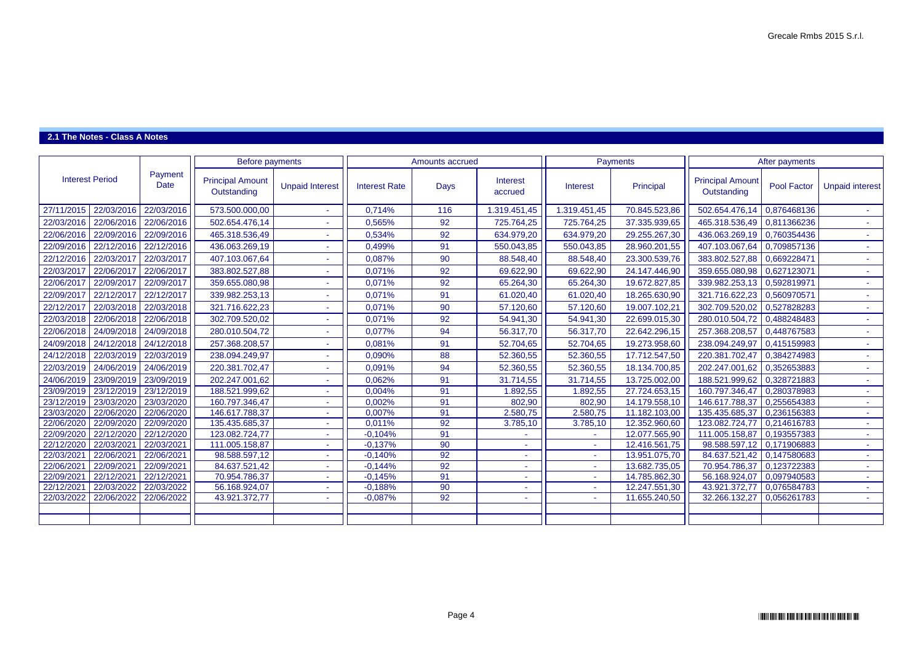## **2.1 The Notes - Class A Notes**

|                        |            |                 | <b>Before payments</b>                 |                          |                      | Amounts accrued |                     |                 | Payments      |                                        | After payments     |                        |
|------------------------|------------|-----------------|----------------------------------------|--------------------------|----------------------|-----------------|---------------------|-----------------|---------------|----------------------------------------|--------------------|------------------------|
| <b>Interest Period</b> |            | Payment<br>Date | <b>Principal Amount</b><br>Outstanding | <b>Unpaid Interest</b>   | <b>Interest Rate</b> | <b>Days</b>     | Interest<br>accrued | <b>Interest</b> | Principal     | <b>Principal Amount</b><br>Outstanding | <b>Pool Factor</b> | <b>Unpaid interest</b> |
| 27/11/2015             | 22/03/2016 | 22/03/2016      | 573.500.000,00                         |                          | 0,714%               | 116             | 1.319.451,45        | 1.319.451,45    | 70.845.523,86 | 502.654.476,14                         | 0,876468136        |                        |
| 22/03/2016             | 22/06/2016 | 22/06/2016      | 502.654.476,14                         |                          | 0,565%               | 92              | 725.764,25          | 725.764,25      | 37.335.939,65 | 465.318.536,49                         | 0,811366236        | ÷.                     |
| 22/06/2016             | 22/09/2016 | 22/09/2016      | 465.318.536,49                         |                          | 0,534%               | 92              | 634.979,20          | 634.979,20      | 29.255.267,30 | 436.063.269,19                         | 0,760354436        | $\sim$                 |
| 22/09/2016             | 22/12/2016 | 22/12/2016      | 436.063.269,19                         |                          | 0,499%               | 91              | 550.043,85          | 550.043,85      | 28.960.201,55 | 407.103.067,64                         | 0,709857136        | $\sim$ 1               |
| 22/12/2016             | 22/03/2017 | 22/03/2017      | 407.103.067,64                         |                          | 0,087%               | 90              | 88.548,40           | 88.548,40       | 23.300.539,76 | 383.802.527,88                         | 0,669228471        |                        |
| 22/03/2017             | 22/06/2017 | 22/06/2017      | 383.802.527,88                         |                          | 0,071%               | 92              | 69.622,90           | 69.622,90       | 24.147.446,90 | 359.655.080,98                         | 0,627123071        | ÷.                     |
| 22/06/2017             | 22/09/2017 | 22/09/2017      | 359.655.080,98                         |                          | 0,071%               | 92              | 65.264,30           | 65.264,30       | 19.672.827,85 | 339.982.253,13                         | 0,592819971        | a.                     |
| 22/09/2017             | 22/12/2017 | 22/12/2017      | 339.982.253,13                         |                          | 0,071%               | 91              | 61.020,40           | 61.020,40       | 18.265.630,90 | 321.716.622,23                         | 0,560970571        | $\sim$                 |
| 22/12/2017             | 22/03/2018 | 22/03/2018      | 321.716.622,23                         | $\overline{\phantom{a}}$ | 0,071%               | 90              | 57.120,60           | 57.120,60       | 19.007.102,21 | 302.709.520,02                         | 0,527828283        | a.                     |
| 22/03/2018             | 22/06/2018 | 22/06/2018      | 302.709.520,02                         |                          | 0,071%               | 92              | 54.941,30           | 54.941,30       | 22.699.015,30 | 280.010.504,72                         | 0,488248483        | $\sim$                 |
| 22/06/2018             | 24/09/2018 | 24/09/2018      | 280.010.504,72                         |                          | 0,077%               | 94              | 56.317,70           | 56.317,70       | 22.642.296,15 | 257.368.208,57                         | 0,448767583        | $\sim$ 1               |
| 24/09/2018             | 24/12/2018 | 24/12/2018      | 257.368.208,57                         |                          | 0,081%               | 91              | 52.704,65           | 52.704,65       | 19.273.958,60 | 238.094.249,97                         | 0,415159983        | ÷.                     |
| 24/12/2018             | 22/03/2019 | 22/03/2019      | 238.094.249,97                         |                          | 0,090%               | 88              | 52.360,55           | 52.360,55       | 17.712.547,50 | 220.381.702,47                         | 0,384274983        | a.                     |
| 22/03/2019             | 24/06/2019 | 24/06/2019      | 220.381.702,47                         |                          | 0,091%               | 94              | 52.360,55           | 52.360,55       | 18.134.700,85 | 202.247.001,62                         | 0,352653883        | ÷.                     |
| 24/06/2019             | 23/09/2019 | 23/09/2019      | 202.247.001,62                         | ۰                        | 0,062%               | 91              | 31.714,55           | 31.714,55       | 13.725.002,00 | 188.521.999,62                         | 0,328721883        | $\sim$ 1               |
| 23/09/2019             | 23/12/2019 | 23/12/2019      | 188.521.999,62                         | ٠                        | 0,004%               | $\overline{91}$ | 1.892,55            | .892,55         | 27.724.653,15 | 160.797.346,47                         | 0,280378983        | $\sim$                 |
| 23/12/2019             | 23/03/2020 | 23/03/2020      | 160.797.346,47                         |                          | 0,002%               | 91              | 802,90              | 802,90          | 14.179.558,10 | 146.617.788,37                         | 0,255654383        | $\sim$                 |
| 23/03/2020             | 22/06/2020 | 22/06/2020      | 146.617.788,37                         |                          | 0,007%               | 91              | 2.580,75            | 2.580,75        | 11.182.103,00 | 135.435.685,37                         | 0,236156383        | ÷.                     |
| 22/06/2020             | 22/09/2020 | 22/09/2020      | 135.435.685,37                         |                          | 0,011%               | 92              | 3.785,10            | 3.785,10        | 12.352.960,60 | 123.082.724,77                         | 0,214616783        | $\sim$                 |
| 22/09/2020             | 22/12/2020 | 22/12/2020      | 123.082.724,77                         | ٠                        | $-0,104%$            | 91              |                     |                 | 12.077.565,90 | 111.005.158,87                         | 0,193557383        | $\sim$                 |
| 22/12/2020             | 22/03/2021 | 22/03/2021      | 111.005.158,87                         | $\sim$                   | $-0,137%$            | 90              |                     | A.              | 12.416.561,75 | 98.588.597,12 0,171906883              |                    | $\sim 10$              |
| 22/03/2021             | 22/06/2021 | 22/06/2021      | 98.588.597,12                          |                          | $-0,140%$            | 92              |                     |                 | 13.951.075,70 | 84.637.521,42 0,147580683              |                    | a.                     |
| 22/06/2021             | 22/09/2021 | 22/09/2021      | 84.637.521,42                          | $\sim$                   | $-0,144%$            | 92              | н.                  | <b>COL</b>      | 13.682.735,05 | 70.954.786,37                          | 0,123722383        | $\sim$ 10 $\pm$        |
| 22/09/2021             | 22/12/2021 | 22/12/2021      | 70.954.786,37                          |                          | $-0,145%$            | 91              |                     | $\sim$          | 14.785.862,30 | 56.168.924,07                          | 0,097940583        | $\sim$                 |
| 22/12/2021             | 22/03/2022 | 22/03/2022      | 56.168.924,07                          |                          | $-0,188%$            | 90              |                     |                 | 12.247.551,30 | 43.921.372,77                          | 0,076584783        | $\sim$                 |
| 22/03/2022             | 22/06/2022 | 22/06/2022      | 43.921.372,77                          |                          | $-0,087%$            | 92              |                     |                 | 11.655.240,50 | 32.266.132,27                          | 0,056261783        | $\sim 10$              |
|                        |            |                 |                                        |                          |                      |                 |                     |                 |               |                                        |                    |                        |
|                        |            |                 |                                        |                          |                      |                 |                     |                 |               |                                        |                    |                        |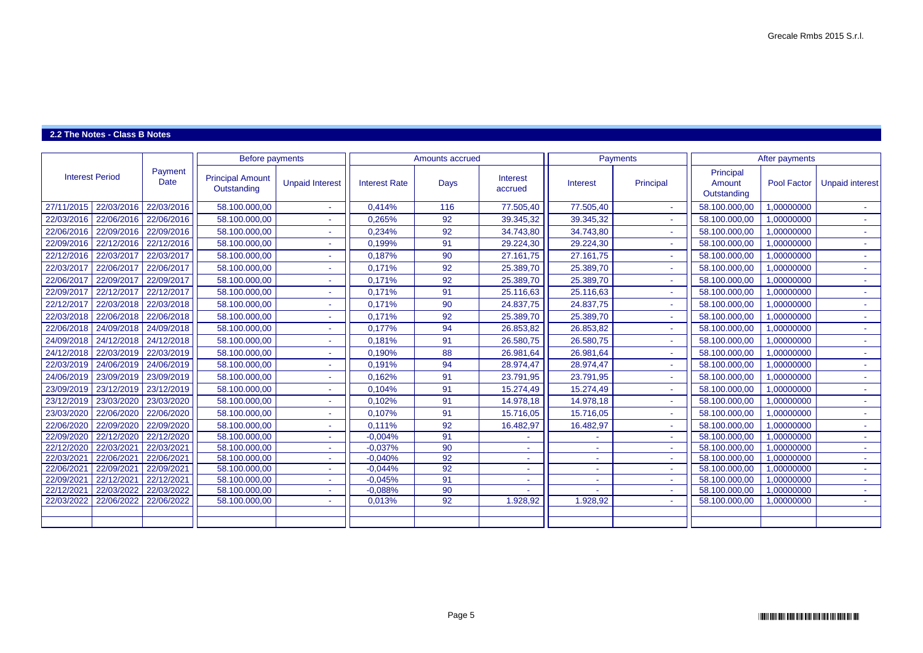## **2.2 The Notes - Class B Notes**

|                                                                                                                                          | Payment<br><b>Date</b>                                                                                                                                                                                                                                                                                      | <b>Principal Amount</b><br>Outstanding                                                         | <b>Unpaid Interest</b>                                                            | <b>Interest Rate</b>   | <b>Days</b>                                                | Interest<br>accrued        | <b>Interest</b>             | Principal | Principal<br>Amount<br>Outstanding | <b>Pool Factor</b>                                                                | <b>Unpaid interest</b>                                                               |
|------------------------------------------------------------------------------------------------------------------------------------------|-------------------------------------------------------------------------------------------------------------------------------------------------------------------------------------------------------------------------------------------------------------------------------------------------------------|------------------------------------------------------------------------------------------------|-----------------------------------------------------------------------------------|------------------------|------------------------------------------------------------|----------------------------|-----------------------------|-----------|------------------------------------|-----------------------------------------------------------------------------------|--------------------------------------------------------------------------------------|
|                                                                                                                                          | 22/03/2016                                                                                                                                                                                                                                                                                                  | 58.100.000,00                                                                                  |                                                                                   | 0,414%                 | 116                                                        | 77.505,40                  | 77.505,40                   | $\sim$ 10 | 58.100.000,00                      | 1,00000000                                                                        |                                                                                      |
| 22/06/2016                                                                                                                               | 22/06/2016                                                                                                                                                                                                                                                                                                  | 58.100.000,00                                                                                  |                                                                                   | 0,265%                 | 92                                                         | 39.345,32                  | 39.345,32                   | $\sim$ 1  | 58.100.000,00                      | 1,00000000                                                                        | $\sim$                                                                               |
| 22/09/2016                                                                                                                               | 22/09/2016                                                                                                                                                                                                                                                                                                  | 58.100.000,00                                                                                  |                                                                                   | 0,234%                 | 92                                                         | 34.743,80                  | 34.743,80                   |           | 58.100.000,00                      | 1,00000000                                                                        |                                                                                      |
| 22/12/2016                                                                                                                               | 22/12/2016                                                                                                                                                                                                                                                                                                  | 58.100.000,00                                                                                  |                                                                                   | 0,199%                 | 91                                                         | 29.224,30                  | 29.224,30                   | $\sim$    | 58.100.000,00                      | 1,00000000                                                                        | $\sim$                                                                               |
| 22/03/201                                                                                                                                | 22/03/2017                                                                                                                                                                                                                                                                                                  | 58.100.000,00                                                                                  |                                                                                   | 0,187%                 | 90                                                         | 27.161,75                  | 27.161,75                   | $\sim$ 1  | 58.100.000,00                      | 1,00000000                                                                        | $\sim$                                                                               |
| 22/06/201                                                                                                                                | 22/06/2017                                                                                                                                                                                                                                                                                                  | 58.100.000,00                                                                                  |                                                                                   | 0,171%                 | 92                                                         | 25.389,70                  | 25.389,70                   | $\sim$    | 58.100.000,00                      | 1,00000000                                                                        | $\sim$                                                                               |
| 22/09/201                                                                                                                                | 22/09/2017                                                                                                                                                                                                                                                                                                  | 58.100.000,00                                                                                  |                                                                                   | 0,171%                 | 92                                                         | 25.389,70                  | 25.389,70                   | $\sim$    | 58.100.000,00                      | 1,00000000                                                                        | $\sim$                                                                               |
| 22/12/2011                                                                                                                               | 22/12/2017                                                                                                                                                                                                                                                                                                  | 58.100.000,00                                                                                  |                                                                                   | 0,171%                 | 91                                                         | 25.116,63                  | 25.116,63                   |           | 58.100.000,00                      | 1,00000000                                                                        |                                                                                      |
| 22/03/2018                                                                                                                               | 22/03/2018                                                                                                                                                                                                                                                                                                  | 58.100.000,00                                                                                  |                                                                                   | 0,171%                 | 90                                                         | 24.837,75                  | 24.837,75                   | $\sim$ 1  | 58.100.000,00                      | 1,00000000                                                                        | $\sim$                                                                               |
| 22/06/2018                                                                                                                               | 22/06/2018                                                                                                                                                                                                                                                                                                  | 58.100.000,00                                                                                  |                                                                                   | 0,171%                 | 92                                                         | 25.389,70                  | 25.389,70                   | $\sim$ 1  | 58.100.000,00                      | 1,00000000                                                                        | $\sim$                                                                               |
| 24/09/2018                                                                                                                               | 24/09/2018                                                                                                                                                                                                                                                                                                  | 58.100.000,00                                                                                  |                                                                                   | 0,177%                 | 94                                                         | 26.853,82                  | 26.853,82                   | ÷.        | 58.100.000,00                      | 1,00000000                                                                        |                                                                                      |
| 24/12/2018                                                                                                                               | 24/12/2018                                                                                                                                                                                                                                                                                                  | 58.100.000,00                                                                                  |                                                                                   | 0,181%                 | 91                                                         | 26.580,75                  | 26.580,75                   | $\sim$ 10 | 58.100.000,00                      | 1,00000000                                                                        | ÷.                                                                                   |
| 22/03/2019                                                                                                                               |                                                                                                                                                                                                                                                                                                             | 58.100.000,00                                                                                  |                                                                                   | 0,190%                 | 88                                                         | 26.981,64                  | 26.981,64                   | ÷.        | 58.100.000,00                      | 1,00000000                                                                        |                                                                                      |
| 24/06/2019                                                                                                                               | 24/06/2019                                                                                                                                                                                                                                                                                                  | 58.100.000,00                                                                                  |                                                                                   | 0,191%                 | 94                                                         | 28.974,47                  | 28.974,47                   | $\sim$ 1  | 58.100.000,00                      | 1,00000000                                                                        | $\sim$                                                                               |
| 23/09/2019                                                                                                                               | 23/09/2019                                                                                                                                                                                                                                                                                                  | 58.100.000,00                                                                                  |                                                                                   | 0,162%                 | 91                                                         | 23.791,95                  | 23.791,95                   | ÷.        | 58.100.000,00                      | 1,00000000                                                                        | $\sim$                                                                               |
| 23/12/2019                                                                                                                               | 23/12/2019                                                                                                                                                                                                                                                                                                  | 58.100.000,00                                                                                  |                                                                                   | 0,104%                 | 91                                                         | 15.274,49                  | 15.274,49                   | ÷.        | 58.100.000,00                      | 1,00000000                                                                        |                                                                                      |
| 23/03/2020                                                                                                                               | 23/03/2020                                                                                                                                                                                                                                                                                                  | 58.100.000,00                                                                                  |                                                                                   | 0,102%                 | 91                                                         | 14.978,18                  | 14.978,18                   | $\sim$ 10 | 58.100.000,00                      | 1,00000000                                                                        | $\sim$ 1                                                                             |
| 22/06/2020                                                                                                                               | 22/06/2020                                                                                                                                                                                                                                                                                                  | 58.100.000,00                                                                                  |                                                                                   | 0,107%                 | 91                                                         | 15.716,05                  | 15.716,05                   | ÷.        | 58.100.000,00                      | 1,00000000                                                                        | $\sim$                                                                               |
| 22/09/2020                                                                                                                               | 22/09/2020                                                                                                                                                                                                                                                                                                  | 58.100.000,00                                                                                  |                                                                                   | 0,111%                 | 92                                                         | 16.482,97                  | 16.482,97                   | $\sim$    | 58.100.000,00                      | 1,00000000                                                                        | $\sim$                                                                               |
| 22/12/2020                                                                                                                               | 22/12/2020                                                                                                                                                                                                                                                                                                  | 58.100.000,00                                                                                  |                                                                                   | $-0,004%$              | 91                                                         |                            |                             | $\sim$    | 58.100.000,00                      | 1,00000000                                                                        | $\sim$                                                                               |
| 22/03/202                                                                                                                                | 22/03/2021                                                                                                                                                                                                                                                                                                  | 58.100.000,00                                                                                  |                                                                                   | $-0,037%$              | 90                                                         | $\sim$                     | ٠                           | $\sim$    | 58.100.000,00                      | 1,00000000                                                                        | $\sim$                                                                               |
|                                                                                                                                          |                                                                                                                                                                                                                                                                                                             |                                                                                                |                                                                                   |                        |                                                            | $\sim$                     | $\sim$                      | $\sim$ 1  |                                    |                                                                                   | $\sim$                                                                               |
|                                                                                                                                          |                                                                                                                                                                                                                                                                                                             |                                                                                                |                                                                                   |                        |                                                            | $\sim$                     | $\blacksquare$              | $\sim$ 1  |                                    |                                                                                   | $\sim$                                                                               |
|                                                                                                                                          |                                                                                                                                                                                                                                                                                                             |                                                                                                |                                                                                   |                        |                                                            |                            |                             | $\sim$    |                                    |                                                                                   | a.                                                                                   |
|                                                                                                                                          |                                                                                                                                                                                                                                                                                                             |                                                                                                |                                                                                   |                        |                                                            |                            |                             |           |                                    |                                                                                   |                                                                                      |
|                                                                                                                                          |                                                                                                                                                                                                                                                                                                             |                                                                                                |                                                                                   |                        |                                                            |                            |                             |           |                                    |                                                                                   | $\sim$                                                                               |
|                                                                                                                                          |                                                                                                                                                                                                                                                                                                             |                                                                                                |                                                                                   |                        |                                                            |                            |                             |           |                                    |                                                                                   |                                                                                      |
| 22/03/2017<br>22/06/2017<br>22/09/2017<br>22/12/2017<br>22/06/2020<br>22/09/2020<br>22/12/2020<br>22/03/2021<br>22/06/2021<br>22/12/2021 | <b>Interest Period</b><br>27/11/2015<br>22/03/2016<br>22/06/2016<br>22/09/2016<br>22/12/2016<br>22/03/2018<br>22/06/2018<br>24/09/2018<br>24/12/2018<br>22/03/2019<br>24/06/2019<br>23/09/2019<br>23/12/2019<br>23/03/2020<br>22/06/202<br>22/09/202<br>22/12/202<br>22/03/2022<br>22/03/2022<br>22/06/2022 | 22/03/2016<br>22/03/2019<br>22/06/2021<br>22/09/2021<br>22/12/2021<br>22/03/2022<br>22/06/2022 | 58.100.000,00<br>58.100.000,00<br>58.100.000,00<br>58.100.000,00<br>58.100.000,00 | <b>Before payments</b> | $-0,040%$<br>$-0,044%$<br>$-0,045%$<br>$-0,088%$<br>0,013% | 92<br>92<br>91<br>90<br>92 | Amounts accrued<br>1.928,92 | 1.928,92  | <b>Payments</b><br>$\sim$          | 58.100.000,00<br>58.100.000,00<br>58.100.000,00<br>58.100.000,00<br>58.100.000,00 | After payments<br>1,00000000<br>1,00000000<br>1,00000000<br>1,00000000<br>1,00000000 |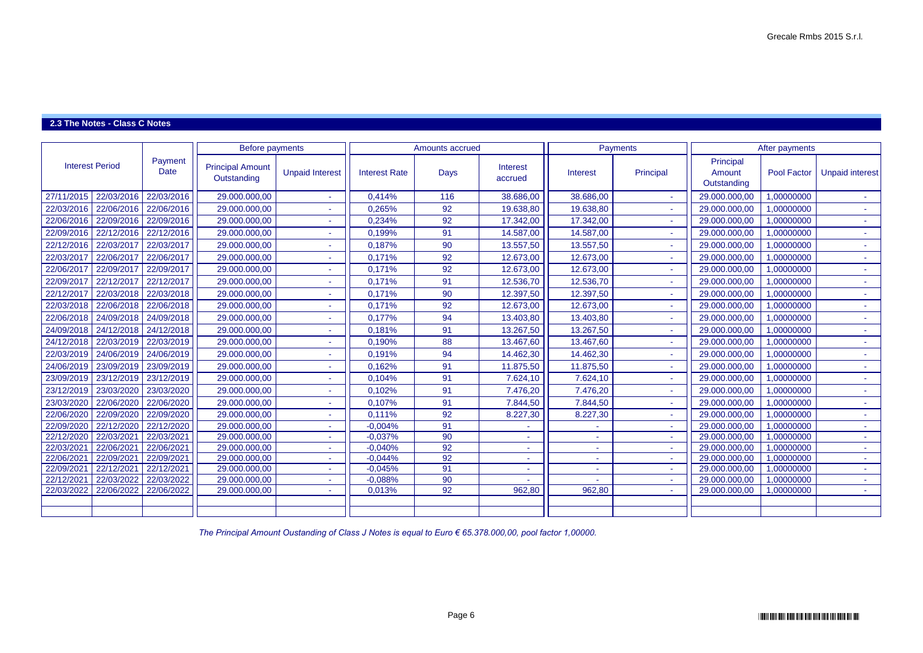## **2.3 The Notes - Class C Notes**

|                                      |                        | <b>Before payments</b>                 |                        |                      | Amounts accrued |                     |                 | Payments                    |                                    | After payments     |                        |
|--------------------------------------|------------------------|----------------------------------------|------------------------|----------------------|-----------------|---------------------|-----------------|-----------------------------|------------------------------------|--------------------|------------------------|
| <b>Interest Period</b>               | Payment<br><b>Date</b> | <b>Principal Amount</b><br>Outstanding | <b>Unpaid Interest</b> | <b>Interest Rate</b> | <b>Days</b>     | Interest<br>accrued | <b>Interest</b> | Principal                   | Principal<br>Amount<br>Outstanding | <b>Pool Factor</b> | <b>Unpaid interest</b> |
| 22/03/2016<br>27/11/2015             | 22/03/2016             | 29.000.000,00                          |                        | 0,414%               | 116             | 38.686,00           | 38.686,00       | ÷.                          | 29.000.000,00                      | 1,00000000         |                        |
| 22/06/2016<br>22/03/2016             | 22/06/2016             | 29.000.000,00                          |                        | 0,265%               | 92              | 19.638,80           | 19.638,80       |                             | 29.000.000,00                      | 1,00000000         | ÷.                     |
| 22/06/2016<br>22/09/2016             | 22/09/2016             | 29.000.000,00                          |                        | 0,234%               | 92              | 17.342,00           | 17.342,00       |                             | 29.000.000,00                      | 1,00000000         | ÷.                     |
| 22/12/2016<br>22/09/2016             | 22/12/2016             | 29.000.000,00                          |                        | 0,199%               | 91              | 14.587,00           | 14.587,00       | ÷.                          | 29.000.000,00                      | 1,00000000         | ÷.                     |
| 22/12/2016<br>22/03/201              | 22/03/2017             | 29.000.000,00                          |                        | 0,187%               | 90              | 13.557,50           | 13.557,50       | ÷.                          | 29.000.000,00                      | 1,00000000         | $\sim$ 1               |
| 22/03/2017<br>22/06/2017             | 22/06/2017             | 29.000.000,00                          |                        | 0,171%               | 92              | 12.673,00           | 12.673,00       |                             | 29.000.000,00                      | 1,00000000         |                        |
| 22/06/2017<br>22/09/201              | 22/09/2017             | 29.000.000,00                          |                        | 0,171%               | 92              | 12.673,00           | 12.673,00       | $\sim$                      | 29.000.000,00                      | 1,00000000         | $\sim$                 |
| 22/09/2017<br>22/12/2017             | 22/12/2017             | 29.000.000,00                          |                        | 0,171%               | 91              | 12.536,70           | 12.536,70       | a.                          | 29.000.000,00                      | 1,00000000         | $\sim$                 |
| 22/03/2018<br>22/12/2017             | 22/03/2018             | 29.000.000,00                          |                        | 0,171%               | 90              | 12.397,50           | 12.397,50       | ÷.                          | 29.000.000,00                      | 1,00000000         | $\sim$                 |
| 22/03/2018<br>22/06/2018             | 22/06/2018             | 29.000.000,00                          |                        | 0,171%               | 92              | 12.673,00           | 12.673,00       | ÷.                          | 29.000.000,00                      | 1,00000000         | $\sim$                 |
| 22/06/2018<br>24/09/2018             | 24/09/2018             | 29.000.000,00                          |                        | 0,177%               | 94              | 13.403,80           | 13.403,80       |                             | 29.000.000,00                      | 1,00000000         | $\sim$                 |
| 24/09/2018<br>24/12/2018             | 24/12/2018             | 29.000.000,00                          |                        | 0,181%               | 91              | 13.267,50           | 13.267,50       | $\sim$ 10                   | 29.000.000,00                      | 1,00000000         | $\sim$                 |
| 24/12/2018<br>22/03/2019             | 22/03/2019             | 29.000.000,00                          |                        | 0,190%               | 88              | 13.467,60           | 13.467,60       | $\sim$                      | 29.000.000,00                      | 1,00000000         | $\sim$                 |
| 22/03/2019<br>24/06/2019             | 24/06/2019             | 29.000.000,00                          |                        | 0,191%               | 94              | 14.462,30           | 14.462,30       | ÷.                          | 29.000.000,00                      | 1,00000000         | ÷.                     |
| 24/06/2019<br>23/09/2019             | 23/09/2019             | 29.000.000,00                          |                        | 0,162%               | 91              | 11.875,50           | 11.875,50       | $\mathcal{L}^{\mathcal{A}}$ | 29.000.000,00                      | 1,00000000         | $\sim$ 10 $\pm$        |
| 23/09/2019<br>23/12/2019             | 23/12/2019             | 29.000.000,00                          |                        | 0,104%               | 91              | 7.624,10            | 7.624,10        |                             | 29.000.000,00                      | 1,00000000         | н.                     |
| 23/12/2019<br>23/03/2020             | 23/03/2020             | 29.000.000,00                          |                        | 0,102%               | 91              | 7.476,20            | 7.476,20        | $\sim$                      | 29.000.000,00                      | 1,00000000         | $\sim$                 |
| 23/03/2020<br>22/06/2020             | 22/06/2020             | 29.000.000,00                          |                        | 0,107%               | 91              | 7.844,50            | 7.844,50        | $\sim$                      | 29.000.000,00                      | 1,00000000         | $\sim$ 1               |
| 22/09/2020<br>22/06/2020             | 22/09/2020             | 29.000.000,00                          |                        | 0,111%               | 92              | 8.227,30            | 8.227,30        |                             | 29.000.000,00                      | 1,00000000         | ÷.                     |
| 22/09/2020<br>22/12/2020             | 22/12/2020             | 29.000.000,00                          |                        | $-0,004%$            | 91              |                     |                 | $\sim$ 10                   | 29.000.000,00                      | 1,00000000         | $\sim$ 10 $\pm$        |
| 22/12/2020<br>22/03/202              | 22/03/2021             | 29.000.000,00                          |                        | $-0,037%$            | 90              |                     |                 | $\sim$                      | 29.000.000,00                      | 1,00000000         | $\sim$ 10 $\pm$        |
| 22/03/2021<br>22/06/202              | 22/06/2021             | 29.000.000,00                          |                        | $-0,040%$            | 92              |                     |                 |                             | 29.000.000,00                      | 1,00000000         | $\sim 10$              |
| 22/06/2021<br>22/09/202              | 22/09/2021             | 29.000.000,00                          |                        | $-0,044%$            | 92              | ж.                  | <b>1999</b>     | ÷.                          | 29.000.000,00                      | 1,00000000         | $\sim$                 |
| 22/09/2021<br>22/12/202 <sup>-</sup> | 22/12/2021             | 29.000.000,00                          |                        | $-0,045%$            | 91              | $\sim$              | $\sim$          |                             | 29.000.000,00                      | 1,00000000         | $\sim$                 |
| 22/12/2021<br>22/03/2022             | 22/03/2022             | 29.000.000,00                          |                        | $-0,088%$            | 90              |                     |                 | a.                          | 29.000.000,00                      | 1,00000000         | $\sim$ 10 $\pm$        |
| 22/06/2022<br>22/03/2022             | 22/06/2022             | 29.000.000,00                          |                        | 0,013%               | 92              | 962,80              | 962,80          | $\sim$                      | 29.000.000,00                      | 1,00000000         | $\sim$ 10 $\pm$        |
|                                      |                        |                                        |                        |                      |                 |                     |                 |                             |                                    |                    |                        |
|                                      |                        |                                        |                        |                      |                 |                     |                 |                             |                                    |                    |                        |

*The Principal Amount Oustanding of Class J Notes is equal to Euro € 65.378.000,00, pool factor 1,00000.*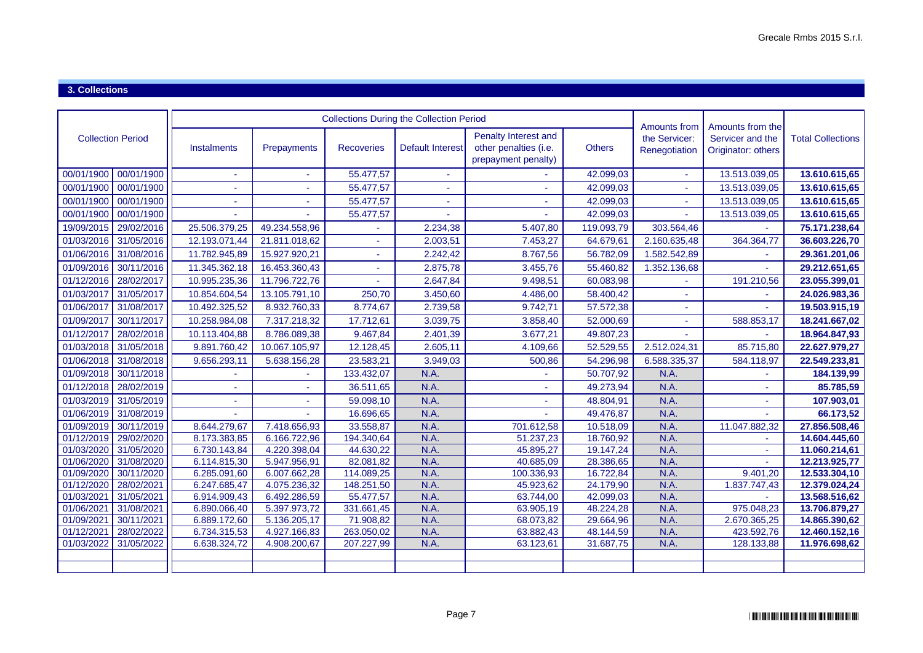### **3. Collections**

|                          |                          |                              |                              |                         | <b>Collections During the Collection Period</b> |                                                                      |                        | <b>Amounts from</b>            |                                                            |                                |
|--------------------------|--------------------------|------------------------------|------------------------------|-------------------------|-------------------------------------------------|----------------------------------------------------------------------|------------------------|--------------------------------|------------------------------------------------------------|--------------------------------|
| <b>Collection Period</b> |                          | Instalments                  | Prepayments                  | <b>Recoveries</b>       | <b>Default Interest</b>                         | Penalty Interest and<br>other penalties (i.e.<br>prepayment penalty) | <b>Others</b>          | the Servicer:<br>Renegotiation | Amounts from the<br>Servicer and the<br>Originator: others | <b>Total Collections</b>       |
| 00/01/1900               | 00/01/1900               | $\sim$                       |                              | 55.477,57               |                                                 |                                                                      | 42.099,03              |                                | 13.513.039,05                                              | 13.610.615,65                  |
| 00/01/1900               | 00/01/1900               |                              |                              | 55.477,57               |                                                 |                                                                      | 42.099,03              |                                | 13.513.039,05                                              | 13.610.615,65                  |
| 00/01/1900               | 00/01/1900               |                              |                              | 55.477,57               |                                                 |                                                                      | 42.099,03              |                                | 13.513.039,05                                              | 13.610.615,65                  |
| 00/01/1900               | 00/01/1900               |                              |                              | 55.477,57               |                                                 |                                                                      | 42.099,03              |                                | 13.513.039,05                                              | 13.610.615,65                  |
| 19/09/2015               | 29/02/2016               | 25.506.379,25                | 49.234.558,96                |                         | 2.234,38                                        | 5.407,80                                                             | 119.093,79             | 303.564,46                     |                                                            | 75.171.238,64                  |
| 01/03/2016               | 31/05/2016               | 12.193.071,44                | 21.811.018,62                | L,                      | 2.003,51                                        | 7.453,27                                                             | 64.679,61              | 2.160.635,48                   | 364.364,77                                                 | 36.603.226,70                  |
| 01/06/2016               | 31/08/2016               | 11.782.945,89                | 15.927.920,21                |                         | 2.242,42                                        | 8.767,56                                                             | 56.782,09              | 1.582.542,89                   |                                                            | 29.361.201,06                  |
| 01/09/2016               | 30/11/2016               | 11.345.362,18                | 16.453.360,43                |                         | 2.875,78                                        | 3.455,76                                                             | 55.460,82              | 1.352.136,68                   |                                                            | 29.212.651,65                  |
| 01/12/2016               | 28/02/2017               | 10.995.235,36                | 11.796.722,76                |                         | 2.647,84                                        | 9.498,51                                                             | 60.083,98              |                                | 191.210,56                                                 | 23.055.399,01                  |
| 01/03/2017               | 31/05/2017               | 10.854.604,54                | 13.105.791,10                | 250,70                  | 3.450,60                                        | 4.486,00                                                             | 58.400,42              |                                |                                                            | 24.026.983,36                  |
| 01/06/2017               | 31/08/2017               | 10.492.325,52                | 8.932.760,33                 | 8.774,67                | 2.739,58                                        | 9.742,71                                                             | 57.572,38              |                                |                                                            | 19.503.915,19                  |
| 01/09/2017               | 30/11/2017               | 10.258.984,08                | 7.317.218,32                 | 17.712,61               | 3.039,75                                        | 3.858,40                                                             | 52.000,69              |                                | 588.853,17                                                 | 18.241.667,02                  |
| 01/12/2017               | 28/02/2018               | 10.113.404,88                | 8.786.089,38                 | 9.467,84                | 2.401,39                                        | 3.677,21                                                             | 49.807,23              |                                |                                                            | 18.964.847,93                  |
| 01/03/2018               | 31/05/2018               | 9.891.760,42                 | 10.067.105,97                | 12.128,45               | 2.605,11                                        | 4.109,66                                                             | 52.529,55              | 2.512.024,31                   | 85.715,80                                                  | 22.627.979,27                  |
| 01/06/2018               | 31/08/2018               | 9.656.293,11                 | 5.638.156,28                 | 23.583,21               | 3.949,03                                        | 500,86                                                               | 54.296,98              | 6.588.335,37                   | 584.118,97                                                 | 22.549.233,81                  |
| 01/09/2018               | 30/11/2018               |                              |                              | 133.432,07              | N.A.                                            |                                                                      | 50.707,92              | N.A.                           |                                                            | 184.139,99                     |
| 01/12/2018               | 28/02/2019               | ÷.                           |                              | 36.511,65               | N.A.                                            |                                                                      | 49.273,94              | N.A.                           |                                                            | 85.785,59                      |
| 01/03/2019               | 31/05/2019               |                              |                              | 59.098,10               | N.A.                                            |                                                                      | 48.804,91              | N.A.                           |                                                            | 107.903,01                     |
| 01/06/2019               | 31/08/2019               |                              |                              | 16.696,65               | N.A.                                            |                                                                      | 49.476,87              | N.A.                           |                                                            | 66.173,52                      |
| 01/09/2019               | 30/11/2019               | 8.644.279,67                 | 7.418.656,93                 | 33.558,87               | N.A.                                            | 701.612,58                                                           | 10.518,09              | N.A.                           | 11.047.882,32                                              | 27.856.508,46                  |
| 01/12/2019               | 29/02/2020               | 8.173.383,85                 | 6.166.722,96                 | 194.340,64              | N.A.                                            | 51.237,23                                                            | 18.760,92              | N.A.                           |                                                            | 14.604.445,60                  |
| 01/03/2020               | 31/05/2020               | 6.730.143,84                 | 4.220.398,04                 | 44.630,22               | N.A.                                            | 45.895,27                                                            | 19.147,24              | N.A.                           |                                                            | 11.060.214,61                  |
| 01/06/2020               | 31/08/2020               | 6.114.815,30                 | 5.947.956,91                 | 82.081,82               | N.A.                                            | 40.685,09                                                            | 28.386,65              | N.A.                           |                                                            | 12.213.925,77                  |
| 01/09/2020               | 30/11/2020               | 6.285.091,60                 | 6.007.662,28                 | 114.089,25              | N.A.                                            | 100.336,93                                                           | 16.722,84              | N.A.                           | 9.401,20                                                   | 12.533.304,10                  |
| 01/12/2020               | 28/02/2021               | 6.247.685,47                 | 4.075.236,32                 | 148.251,50              | N.A                                             | 45.923,62                                                            | 24.179,90              | N.A.                           | 1.837.747,43                                               | 12.379.024,24                  |
| 01/03/2021<br>01/06/2021 | 31/05/2021<br>31/08/2021 | 6.914.909,43<br>6.890.066,40 | 6.492.286,59<br>5.397.973,72 | 55.477,57<br>331.661,45 | N.A.<br>N.A.                                    | 63.744,00                                                            | 42.099,03<br>48.224,28 | N.A.<br>N.A.                   | 975.048,23                                                 | 13.568.516,62<br>13.706.879,27 |
| 01/09/2021               | 30/11/2021               | 6.889.172,60                 | 5.136.205,17                 | 71.908,82               | N.A.                                            | 63.905,19<br>68.073,82                                               | 29.664,96              | N.A.                           | 2.670.365,25                                               | 14.865.390,62                  |
| 01/12/2021               | 28/02/2022               | 6.734.315,53                 | 4.927.166,83                 | 263.050,02              | N.A.                                            | 63.882,43                                                            | 48.144,59              | N.A.                           | 423.592,76                                                 | 12.460.152,16                  |
| 01/03/2022               | 31/05/2022               | 6.638.324,72                 | 4.908.200,67                 | 207.227,99              | N.A.                                            | 63.123,61                                                            | 31.687,75              | N.A.                           | 128.133,88                                                 | 11.976.698,62                  |
|                          |                          |                              |                              |                         |                                                 |                                                                      |                        |                                |                                                            |                                |
|                          |                          |                              |                              |                         |                                                 |                                                                      |                        |                                |                                                            |                                |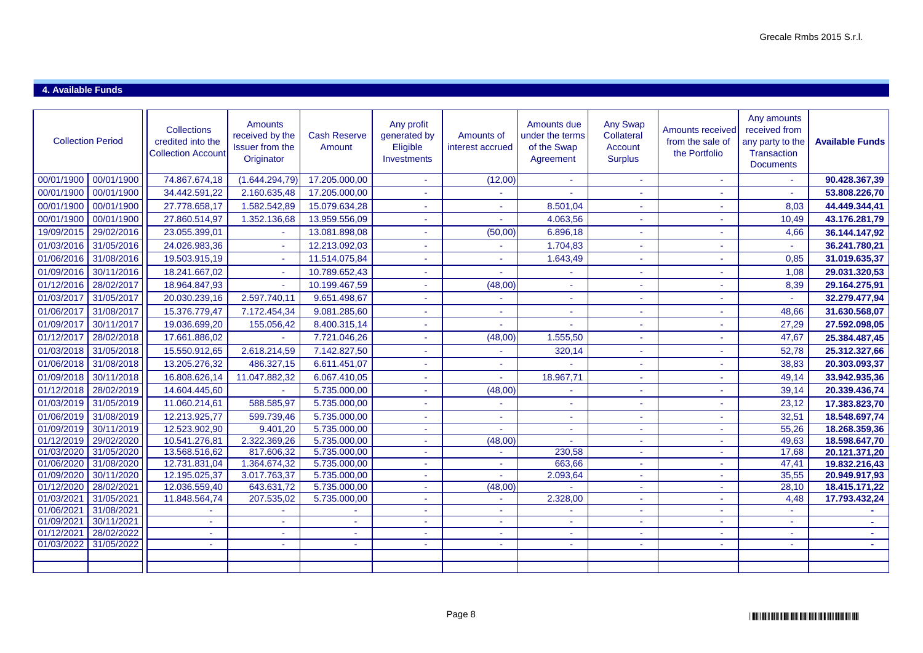### **4. Available Funds**

| <b>Collection Period</b> |                          | <b>Collections</b><br>credited into the<br><b>Collection Account</b> | <b>Amounts</b><br>received by the<br>Issuer from the<br>Originator | <b>Cash Reserve</b><br>Amount | Any profit<br>generated by<br>Eligible<br>Investments | Amounts of<br>interest accrued | Amounts due<br>under the terms<br>of the Swap<br>Agreement | <b>Any Swap</b><br>Collateral<br>Account<br><b>Surplus</b> | <b>Amounts received</b><br>from the sale of<br>the Portfolio | Any amounts<br>received from<br>any party to the<br>Transaction<br><b>Documents</b> | <b>Available Funds</b>         |
|--------------------------|--------------------------|----------------------------------------------------------------------|--------------------------------------------------------------------|-------------------------------|-------------------------------------------------------|--------------------------------|------------------------------------------------------------|------------------------------------------------------------|--------------------------------------------------------------|-------------------------------------------------------------------------------------|--------------------------------|
| 00/01/1900               | 00/01/1900               | 74.867.674,18                                                        | (1.644.294,79)                                                     | 17.205.000,00                 | $\mathbf{r}$                                          | (12,00)                        |                                                            |                                                            | ÷.                                                           |                                                                                     | 90.428.367,39                  |
| 00/01/1900               | 00/01/1900               | 34.442.591,22                                                        | 2.160.635,48                                                       | 17.205.000,00                 | ÷.                                                    |                                |                                                            | ÷.                                                         | ÷.                                                           | $\Delta \phi$                                                                       | 53.808.226,70                  |
| 00/01/1900               | 00/01/1900               | 27.778.658,17                                                        | 1.582.542,89                                                       | 15.079.634,28                 | ÷.                                                    | ÷                              | 8.501,04                                                   | ÷                                                          | ÷                                                            | 8,03                                                                                | 44.449.344,41                  |
| 00/01/1900               | 00/01/1900               | 27.860.514,97                                                        | 1.352.136,68                                                       | 13.959.556,09                 | $\sim$                                                |                                | 4.063,56                                                   |                                                            |                                                              | 10,49                                                                               | 43.176.281,79                  |
| 19/09/2015               | 29/02/2016               | 23.055.399,01                                                        |                                                                    | 13.081.898,08                 | ÷                                                     | (50,00)                        | 6.896,18                                                   | $\sim$                                                     |                                                              | 4,66                                                                                | 36.144.147,92                  |
| 01/03/2016               | 31/05/2016               | 24.026.983,36                                                        |                                                                    | 12.213.092,03                 |                                                       |                                | 1.704,83                                                   |                                                            |                                                              |                                                                                     | 36.241.780,21                  |
| 01/06/2016               | 31/08/2016               | 19.503.915,19                                                        |                                                                    | 11.514.075,84                 | ٠                                                     |                                | 1.643,49                                                   |                                                            | ٠                                                            | 0,85                                                                                | 31.019.635,37                  |
| 01/09/2016               | 30/11/2016               | 18.241.667,02                                                        |                                                                    | 10.789.652,43                 | $\sim$                                                |                                |                                                            | $\blacksquare$                                             |                                                              | 1,08                                                                                | 29.031.320,53                  |
| 01/12/2016               | 28/02/2017               | 18.964.847,93                                                        |                                                                    | 10.199.467,59                 | ÷                                                     | (48,00)                        |                                                            |                                                            |                                                              | 8,39                                                                                | 29.164.275,91                  |
| 01/03/2017               | 31/05/2017               | 20.030.239,16                                                        | 2.597.740,11                                                       | 9.651.498,67                  | ÷                                                     |                                |                                                            |                                                            |                                                              | ÷.                                                                                  | 32.279.477,94                  |
| 01/06/2017               | 31/08/2017               | 15.376.779,47                                                        | 7.172.454,34                                                       | 9.081.285,60                  | ä,                                                    |                                |                                                            |                                                            |                                                              | 48,66                                                                               | 31.630.568,07                  |
| 01/09/2017               | 30/11/2017               | 19.036.699,20                                                        | 155.056,42                                                         | 8.400.315,14                  | ÷.                                                    |                                |                                                            |                                                            |                                                              | 27,29                                                                               | 27.592.098,05                  |
| 01/12/2017               | 28/02/2018               | 17.661.886,02                                                        |                                                                    | 7.721.046,26                  | ÷                                                     | (48,00)                        | 1.555,50                                                   |                                                            |                                                              | 47,67                                                                               | 25.384.487,45                  |
| 01/03/2018               | 31/05/2018               | 15.550.912,65                                                        | 2.618.214,59                                                       | 7.142.827,50                  | ÷.                                                    |                                | 320,14                                                     |                                                            |                                                              | 52,78                                                                               | 25.312.327,66                  |
| 01/06/2018               | 31/08/2018               | 13.205.276,32                                                        | 486.327,15                                                         | 6.611.451,07                  |                                                       |                                |                                                            |                                                            |                                                              | 38,83                                                                               | 20.303.093,37                  |
| 01/09/2018               | 30/11/2018               | 16.808.626,14                                                        | 11.047.882,32                                                      | 6.067.410,05                  | ÷                                                     |                                | 18.967,71                                                  | ä,                                                         | $\sim$                                                       | 49,14                                                                               | 33.942.935,36                  |
| 01/12/2018               | 28/02/2019               | 14.604.445,60                                                        |                                                                    | 5.735.000,00                  | $\sim$                                                | (48,00)                        |                                                            |                                                            |                                                              | 39,14                                                                               | 20.339.436,74                  |
| 01/03/2019               | 31/05/2019               | 11.060.214,61                                                        | 588.585,97                                                         | 5.735.000,00                  | ÷.                                                    |                                |                                                            | ÷.                                                         |                                                              | 23,12                                                                               | 17.383.823,70                  |
| 01/06/2019               | 31/08/2019               | 12.213.925,77                                                        | 599.739,46                                                         | 5.735.000,00                  | ÷                                                     |                                |                                                            |                                                            |                                                              | 32,51                                                                               | 18.548.697,74                  |
| 01/09/2019               | 30/11/2019               | 12.523.902,90                                                        | 9.401,20                                                           | 5.735.000,00                  | $\sim$                                                | $\sim$                         |                                                            | ÷                                                          | ×.                                                           | 55,26                                                                               | 18.268.359,36                  |
| 01/12/2019               | 29/02/2020               | 10.541.276,81                                                        | 2.322.369,26                                                       | 5.735.000,00                  | $\sim$                                                | (48,00)                        |                                                            | ٠                                                          | ж.                                                           | 49,63                                                                               | 18.598.647,70                  |
| 01/03/2020               | 31/05/2020               | 13.568.516,62                                                        | 817.606,32                                                         | 5.735.000,00                  | ÷.                                                    | $\sim$                         | 230,58                                                     | $\sim$                                                     | ٠                                                            | 17,68                                                                               | 20.121.371,20                  |
| 01/06/2020               | 31/08/2020               | 12.731.831,04                                                        | 1.364.674,32                                                       | 5.735.000,00                  | $\sim$                                                | $\sim$                         | 663,66                                                     | $\sim$                                                     | ÷.                                                           | 47,41                                                                               | 19.832.216,43                  |
| 01/09/2020               | 30/11/2020               | 12.195.025,37                                                        | 3.017.763,37                                                       | 5.735.000,00                  | $\sim$                                                |                                | 2.093,64                                                   | $\sim$                                                     | $\sim$                                                       | 35,55                                                                               | 20.949.917,93                  |
| 01/12/2020<br>01/03/2021 | 28/02/2021<br>31/05/2021 | 12.036.559,40<br>11.848.564,74                                       | 643.631,72                                                         | 5.735.000,00<br>5.735.000,00  | ÷.                                                    | (48,00)                        | 2.328,00                                                   | ÷.                                                         |                                                              | 28,10<br>4,48                                                                       | 18.415.171,22<br>17.793.432,24 |
| 01/06/2021               | 31/08/2021               |                                                                      | 207.535,02                                                         |                               | $\sim$<br>$\sim$                                      | ٠                              |                                                            | ÷                                                          | ÷<br>ж.                                                      | a.                                                                                  |                                |
| 01/09/2021               | 30/11/2021               | ä,                                                                   | ×                                                                  | $\sim$                        | $\sim$                                                | $\sim$                         |                                                            | $\sim$                                                     | $\sim$                                                       | $\sim$                                                                              |                                |
| 01/12/2021               | 28/02/2022               |                                                                      |                                                                    |                               | ÷                                                     |                                |                                                            |                                                            | ٠                                                            |                                                                                     |                                |
| 01/03/2022               | 31/05/2022               | $\sim$                                                               | $\sim$                                                             | a.                            | a.                                                    | ÷                              | a.                                                         | A.                                                         | ÷.                                                           | $\sim$                                                                              | $\sim$                         |
|                          |                          |                                                                      |                                                                    |                               |                                                       |                                |                                                            |                                                            |                                                              |                                                                                     |                                |
|                          |                          |                                                                      |                                                                    |                               |                                                       |                                |                                                            |                                                            |                                                              |                                                                                     |                                |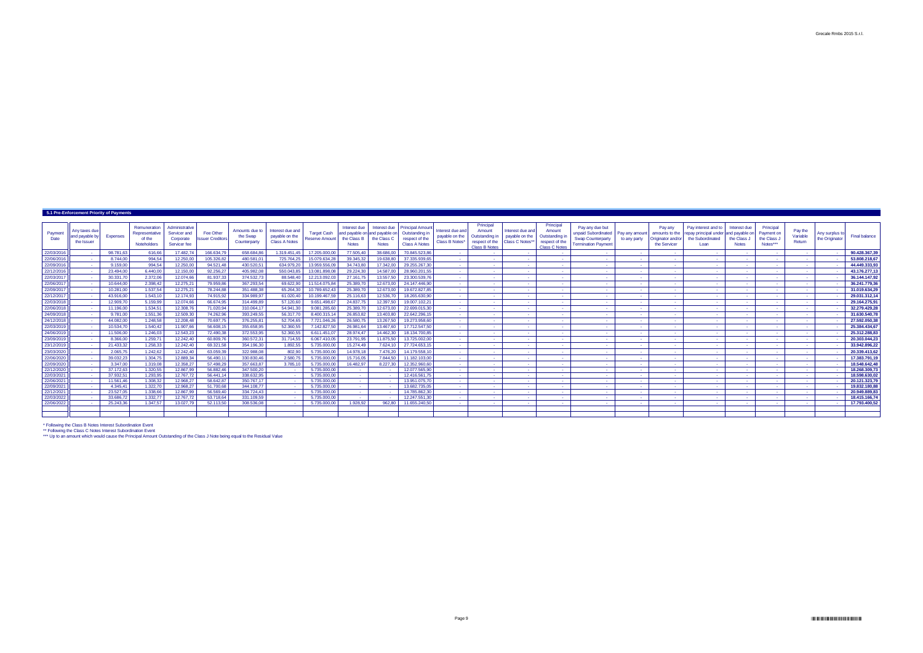\*\* Following the Class C Notes Interest Subordination Event \*\*\* Up to an amount which would cause the Principal Amount Outstanding of the Class J Note being equal to the Residual Value

|                          | 5.1 Pre-Enforcement Priority of Payments       |                        |                                                                       |                                                             |                                      |                                            |                                                            |                                             |                                             |                                                              |                                                                                             |                                                      |                                                                                 |                                                       |                                                                                 |                                                                                                  |                               |                                                                |                                                                                         |                                             |                                                    |                               |                                  |                                |
|--------------------------|------------------------------------------------|------------------------|-----------------------------------------------------------------------|-------------------------------------------------------------|--------------------------------------|--------------------------------------------|------------------------------------------------------------|---------------------------------------------|---------------------------------------------|--------------------------------------------------------------|---------------------------------------------------------------------------------------------|------------------------------------------------------|---------------------------------------------------------------------------------|-------------------------------------------------------|---------------------------------------------------------------------------------|--------------------------------------------------------------------------------------------------|-------------------------------|----------------------------------------------------------------|-----------------------------------------------------------------------------------------|---------------------------------------------|----------------------------------------------------|-------------------------------|----------------------------------|--------------------------------|
| Payment<br>Date          | Any taxes due<br>land payable by<br>the Issuer | <b>Expenses</b>        | <b>Remuneration</b><br>Representative<br>of the<br><b>Noteholders</b> | Administrative<br>Servicer and<br>Corporate<br>Servicer fee | Fee Other<br><b>Issuer Creditors</b> | Amounts due to<br>the Swap<br>Counterparty | Interest due and<br>payable on the<br><b>Class A Notes</b> | <b>Target Cash</b><br><b>Reserve Amount</b> | Interest due<br>the Class B<br><b>Notes</b> | and payable on and payable on<br>the Class C<br><b>Notes</b> | Interest due   Principal Amount<br>Outstanding in<br>respect of the<br><b>Class A Notes</b> | Interest due and<br>payable on the<br>Class B Notes* | Principal<br>Amount<br>Outstanding in<br>respect of the<br><b>Class B Notes</b> | Interest due and<br>payable on the<br>Class C Notes** | Principal<br>Amount<br>Outstanding in<br>respect of the<br><b>Class C Notes</b> | Pay any due but<br>unpaid Subordinated<br><b>Swap Counterparty</b><br><b>Termination Payment</b> | Pay any amoun<br>to any party | Pay any<br>amounts to the<br>Originator and/or<br>the Servicer | Pay interest and to<br>repay principal under and payable or<br>the Subordinated<br>Loan | Interest due<br>the Class J<br><b>Notes</b> | Principal<br>Payment on<br>the Class J<br>Notes*** | Pay the<br>Variable<br>Return | Any surplus to<br>the Originator | <b>Final balance</b>           |
| 22/03/2016               |                                                | 98.781,63              | 616,66                                                                | 17.482,74                                                   | 166.634,79                           | 658.684,86                                 | 1.319.451,4                                                | 17.205.000,0                                | 77.505,40                                   | 38.686,0                                                     | 70.845.523,86                                                                               |                                                      |                                                                                 | $\sim$ $-$                                            |                                                                                 | <b>Contract</b>                                                                                  | $\sim 100$                    | $\sim 100$                                                     | <b>Contract</b>                                                                         |                                             |                                                    | <b>Contract</b>               |                                  | 90.428.367,3                   |
| 22/06/2016               | $\sim 100$                                     | 8.744.00               | 994,54                                                                | 12.250,00                                                   | 105.326,82                           | 480.581.01                                 | 725.764,25                                                 | 15.079.634,28                               | 39.345,32                                   | 19.638.80                                                    | 37.335.939.65                                                                               |                                                      | <b>Contract</b>                                                                 | $\sim$ 100 $\pm$                                      | $\sim$                                                                          | $\sim 100$                                                                                       | $\sim$ 100 $\pm$              | $\sim$ $-$                                                     | <b>Contract</b>                                                                         |                                             |                                                    | <b>Contract</b>               |                                  | 53.808.218,67                  |
| 22/09/2016               | $\sim 100$                                     | 9.159,00               | 994,54                                                                | 12.250,00                                                   | 94.521,48                            | 430.520,51                                 | 634.979,20                                                 | 13.959.556,09                               | 34.743,80                                   | 17.342,00                                                    | 29.255.267,30                                                                               | <b>Contract Contract</b>                             | $\sim 100$                                                                      | <b>Contract</b>                                       | $\sim$ $-$                                                                      | <b>Contract</b>                                                                                  | $\sim$ 100 $\pm$              | $\sim$ 100 $\pm$                                               | <b>Service</b>                                                                          |                                             |                                                    | <b>Contract</b>               |                                  | 44.449.333,93                  |
| 22/12/2016               | <b>Contract</b>                                | 23.494,00              | 6.440,00                                                              | 12.150,00                                                   | 92.256,27                            | 405.982,08                                 | 550.043,85                                                 | 13.081.898,08                               | 29.224,30                                   | 14.587,0                                                     | 28.960.201,55                                                                               |                                                      | <b>Contract</b>                                                                 | $\sim$ 100 $\pm$                                      | $\sim$                                                                          | $\sim$ 100 $\pm$                                                                                 | $\sim$ $-$                    | - 4                                                            | <b>Contract</b>                                                                         |                                             |                                                    |                               |                                  | 43.176.277,13                  |
| 22/03/2017               |                                                | 30.331,70              | 2.372,06                                                              | 12.074,66                                                   | 81.937,33                            | 374.532,73                                 | 88.548,40                                                  | 12.213.092,0                                | 27.161,75                                   | 13.557,5                                                     | 23.300.539,76                                                                               |                                                      | $\sim$ $-$                                                                      | $\sim$                                                | $\sim$                                                                          | $\sim$                                                                                           | $\sim$                        | $\sim$                                                         | <b>Contract</b>                                                                         |                                             |                                                    |                               |                                  | 36.144.147,92                  |
| 22/06/2017               | <b>Contract</b>                                | 10.644,00              | 2.398,42                                                              | 12.275,21                                                   | 79.959,86                            | 367.293,54                                 | 69.622,90                                                  | 11.514.075,84                               | 25.389,70                                   | 12.673,00                                                    | 24.147.446,90                                                                               |                                                      | <b>Contract</b>                                                                 | <b>Contract</b>                                       | $\sim$                                                                          | $\sim$                                                                                           | <b>Contract</b>               | - 4                                                            | <b>Contract</b>                                                                         |                                             |                                                    |                               |                                  | 36.241.779,3                   |
| 22/09/2017               | $\sim 100$                                     | 10.281,00              | 1.537,54                                                              | 12.275,21                                                   | 78.244,88                            | 351.488,38                                 | 65.264,30                                                  | 10.789.652,43                               | 25.389,70                                   | 12.673,00                                                    | 19.672.827,85                                                                               | <b>Contract Contract</b>                             | $\sim 100$                                                                      | <b>Contract</b>                                       | $\sim$                                                                          | $\sim 100$                                                                                       | $\sim 100$                    | $\sim 100$                                                     | <b>Contract</b>                                                                         |                                             |                                                    | <b>Contract</b>               |                                  | 31.019.634,29                  |
| 22/12/2017               | $\sim 10^{-1}$                                 | 43.916,00              | 1.543,10                                                              | 12.174,93                                                   | 74.915,92                            | 334.989,97                                 | 61.020,40                                                  | 10.199.467,59                               | 25.116,63                                   | 12.536,70                                                    | 18.265.630,90                                                                               | $\sim$ $-$                                           | $\sim 100$                                                                      | $\sim 100$                                            | - 4                                                                             | $\sim 100$                                                                                       | $\sim$ $-$                    | $\sim$ $-$                                                     | $\sim$ $-$                                                                              |                                             |                                                    |                               |                                  | 29.031.312,14                  |
| 22/03/2018               | <b>Contract</b>                                | 12.909,70              | 5.159,99                                                              | 12.074,66                                                   | 66.674,95                            | 314.499,89                                 | 57.120,60                                                  | 9.651.498,67                                | 24.837,75                                   | 12.397,5                                                     | 19.007.102,21                                                                               | <b>Contract</b>                                      | <b>Contract</b>                                                                 | <b>Contract</b>                                       | $\sim 100$                                                                      | $\sim 100$                                                                                       | $\sim 100$                    | $\sim$ 100 $\pm$                                               | <b>Contract</b>                                                                         |                                             |                                                    | <b>Contract</b>               |                                  | 29.164.275,91                  |
| 22/06/2018               | $\sim 100$                                     | 11.196,00              | 1.534,51                                                              | 12.308,76                                                   | 71.020,94                            | 310.064,17                                 | 54.941,30                                                  | 9.081.285,60                                | 25.389,70                                   | 12.673,00                                                    | 22.699.015,30                                                                               |                                                      | $\sim 100$                                                                      | $\sim 10^{-1}$                                        | $\sim$                                                                          | $\sim$ $-$                                                                                       | $\sim$ $-$                    | - 1                                                            | $\sim$ $-$                                                                              |                                             |                                                    |                               |                                  | 32.279.429,2                   |
| 24/09/2018               | <b>Contract</b>                                | 9.781,00               | 1.551,36                                                              | 12.509,30                                                   | 74.262,96                            | 393.249,55                                 | 56.317,70                                                  | 8.400.315,14                                | 26.853,82                                   | 13.403,80                                                    | 22.642.296,15                                                                               |                                                      | <b>Contract</b>                                                                 | $\sim$ $-$                                            | $\sim$                                                                          | $\sim$                                                                                           | <b>College</b>                | - 4                                                            | <b>Contract</b>                                                                         |                                             |                                                    |                               |                                  | 31.630.540,78                  |
| 24/12/2018               | <b>Contract</b>                                | 44.082,00              | 1.248,58                                                              | 12.208,48                                                   | 70.697,75                            | 376.255,81                                 | 52.704,65                                                  | 7.721.046,26                                | 26.580,75                                   | 13.267,5                                                     | 19.273.958,60                                                                               |                                                      | <b>Contract</b>                                                                 | <b>Contract</b>                                       | $\sim$                                                                          | $\sim 100$                                                                                       | $\sim$ $-$                    |                                                                | <b>Contract</b>                                                                         |                                             |                                                    |                               |                                  | 27.592.050,38                  |
| 22/03/2019               |                                                | 10.534,70              | 1.540,42                                                              | 11.907,66                                                   | 56.608,15                            | 355.658,95                                 | 52.360,55                                                  | 7.142.827,5                                 | 26.981,64                                   | 13.467,6                                                     | 17.712.547,50                                                                               |                                                      | <b>Contract</b>                                                                 | $\sim$ $-$                                            | $\sim$                                                                          | $\sim$                                                                                           | $\sim$ $-$                    | - 1                                                            | $\sim$ $-$                                                                              |                                             |                                                    |                               |                                  | 25.384.434,67                  |
| 24/06/2019               | <b>Contract</b>                                | 11.506.00              | 1.246,03                                                              | 12.543,23                                                   | 72.490,38                            | 372.553,95                                 | 52.360,55                                                  | 6.611.451,07                                | 28.974,47                                   | 14.462.30                                                    | 18.134.700.85                                                                               | <b>Contract</b>                                      | <b>Contract</b>                                                                 | <b>Contract</b>                                       | $\sim$                                                                          | <b>College</b>                                                                                   | $\sim 100$                    | $\sim 100$                                                     | <b>Contract</b>                                                                         |                                             |                                                    | <b>Contract</b>               |                                  | 25.312.288,8                   |
| 23/09/2019               | $\sim 100$                                     | 8.366,00               | 1.259,71                                                              | 12.242,40                                                   | 60.809,76                            | 360.572,31                                 | 31.714,55                                                  | 6.067.410,0                                 | 23.791,95                                   | 11.875,50                                                    | 13.725.002,00                                                                               | <b>Contract</b>                                      | <b>Contract</b>                                                                 | <b>Contract</b>                                       | $\sim$ $-$                                                                      | <b>Contract</b>                                                                                  | $\sim$ 100 $\pm$              | $\sim$ $-$                                                     | <b>Service</b>                                                                          |                                             |                                                    | <b>Contract</b>               |                                  | 20.303.044,2                   |
| 23/12/2019               | <b>Contract</b>                                | 21.433,32              | 1.258,33                                                              | 12.242,40                                                   | 69.321,58                            | 354.196,30                                 | 1.892,55                                                   | 5.735.000,00                                | 15.274,49                                   | 7.624,1                                                      | 27.724.653,15                                                                               | <b>Contract</b>                                      | <b>Contract</b>                                                                 | $\sim 100$                                            | $\sim$                                                                          | $\sim 10^{-1}$                                                                                   | $\sim$ $-$                    | $\sim$                                                         | <b>Contract</b>                                                                         |                                             |                                                    |                               |                                  | 33.942.896,22                  |
| 23/03/2020               | $\sim 100$                                     | 2.065,75               | 1.242,62                                                              | 12.242,40                                                   | 63.059,39                            | 322.988,08                                 | 802,90                                                     | 5.735.000,00                                | 14.978,18                                   | 7.476,20                                                     | 14.179.558,10                                                                               | <b>Contract</b>                                      | <b>Contract</b>                                                                 | $\sim 10^{-1}$                                        | $\sim$                                                                          | $\sim$                                                                                           | $\sim 10^{-1}$                | $\sim$                                                         | <b>Contract</b>                                                                         |                                             |                                                    |                               |                                  | 20.339.413,62                  |
| 22/06/2020               | $\sim 10^{-1}$                                 | 39.032,23              | 1.304,75                                                              | 12.889,34                                                   | 56.490,11                            | 330.830,46                                 | 2.580,75                                                   | 5.735.000,00                                | 15.716,05                                   | 7.844,50                                                     | 11.182.103,00                                                                               |                                                      | <b>Contract</b>                                                                 | $\sim$ $-$                                            | $\sim$                                                                          | $\sim$                                                                                           | $\sim$ $-$                    |                                                                |                                                                                         |                                             |                                                    |                               |                                  | 17.383.791,19                  |
| 22/09/2020               | <b>Contract</b>                                | 3.347,00               | 1.319,08                                                              | 12.358,27                                                   | 57.498,29                            | 357.663,87                                 | 3.785,1                                                    | 5.735.000,00                                | 16.482,97                                   | 8.227,30                                                     | 12.352.960,60                                                                               |                                                      | <b>Contract</b>                                                                 | <b>College</b>                                        | $\sim$                                                                          | $\sim$                                                                                           | <b>College</b>                |                                                                | <b>Contract</b>                                                                         |                                             |                                                    |                               |                                  | 18.548.642,48                  |
| 22/12/2020               | <b>Contract</b>                                | 37.172,63              | 1.320,55                                                              | 12.867,99                                                   | 56.882,46                            | 347.500,20                                 | <b>Contract</b>                                            | 5.735.000,00                                | $\sim 100$                                  |                                                              | 12.077.565,90                                                                               | $\sim 10^{-11}$                                      | $\sim 100$                                                                      | $\sim 100$                                            | $\sim$                                                                          | $\sim 100$                                                                                       | $\sim 100$                    | $\sim$ $-$                                                     | <b>Contract</b>                                                                         |                                             |                                                    | <b>Contract</b>               |                                  | 18.268.309,73                  |
| 22/03/2021               |                                                | 37.932,51              | 1.293,95                                                              | 12.767,72                                                   | 56.441,14                            | 338.632,95                                 |                                                            | 5.735.000,00                                | $\sim 100$                                  |                                                              | 12.416.561,75                                                                               | <b>Contract</b>                                      | <b>Contract</b>                                                                 | $\sim 100$                                            | $\sim$                                                                          | <b>Contract</b>                                                                                  | $\sim 100$                    | $\sim 100$                                                     | <b>Contract</b>                                                                         |                                             |                                                    | <b>Contract</b>               |                                  | 18.598.630,02                  |
| 22/06/2021               | <b>Contract</b>                                | 11.561,46              | 1.308,32                                                              | 12.968,27                                                   | 58.642,87                            | 350.767,17                                 | $\sim 100$                                                 | 5.735.000,00                                | $\sim 10^{11}$                              |                                                              | 13.951.075,70                                                                               | <b>Contract</b>                                      | <b>Contract</b>                                                                 | $\sim 100$                                            | $\sim 10^{-1}$                                                                  | $\sim 100$                                                                                       | $\sim 100$                    | $\sim$ $-$                                                     | <b>Contract</b>                                                                         |                                             |                                                    | <b>Contract</b>               |                                  | 20.121.323,79                  |
| 22/09/2021               | <b>Contract</b>                                | 4.345,41               | 1.322,70                                                              | 12.968,27                                                   | 51.700,68                            | 344.108,77                                 |                                                            | 5.735.000,00                                | <b>Contract</b>                             |                                                              | 13.682.735,05                                                                               |                                                      | <b>College</b>                                                                  | <b>Contract</b>                                       | $\sim$                                                                          | <b>College</b>                                                                                   | <b>Contract</b>               | $\sim$ $-$                                                     | <b>Contract</b>                                                                         |                                             |                                                    | <b>Contract</b>               |                                  | 19.832.180,88                  |
| 22/12/2021               | <b>Contract</b>                                | 23.527,05              | 1.338,66                                                              | 12.867,99                                                   | 56.569,40                            | 334.724,43                                 |                                                            | 5.735.000,00                                | <b>Contract</b>                             |                                                              | 14.785.862,30                                                                               |                                                      | $\sim 100$                                                                      | $\sim 100$                                            | $\sim$                                                                          | $\sim 100$                                                                                       | $\sim 100$                    | <b>Contract</b>                                                | <b>Contract</b>                                                                         |                                             |                                                    | <b>Contract</b>               |                                  | 20.949.889,83                  |
| 22/03/2022<br>22/06/2022 |                                                | 33.686,72<br>25.243,36 | 1.332,77<br>1.347.57                                                  | 12.767,72<br>13.027,79                                      | 53.718,64<br>52.113,50               | 331.109,59<br>308.536,08                   |                                                            | 5.735.000,00<br>5.735.000,00                | <b>Contract</b><br>1.928,92                 | 962.80                                                       | 12.247.551,30<br>11.655.240,50                                                              | <b>Contract</b>                                      | $\sim 100$<br><b>Contract</b>                                                   | <b>Contract</b><br><b>Contract</b>                    | $\sim$<br><b>Contract</b>                                                       | $\sim 100$<br><b>College</b>                                                                     | $\sim$ $-$<br><b>Contract</b> | $\sim 100$                                                     | <b>Contract</b>                                                                         |                                             |                                                    |                               |                                  | 18.415.166,74<br>17.793.400,52 |
|                          |                                                |                        |                                                                       |                                                             |                                      |                                            |                                                            |                                             |                                             |                                                              |                                                                                             |                                                      |                                                                                 |                                                       |                                                                                 |                                                                                                  |                               |                                                                |                                                                                         |                                             |                                                    |                               |                                  |                                |
|                          |                                                |                        |                                                                       |                                                             |                                      |                                            |                                                            |                                             |                                             |                                                              |                                                                                             |                                                      |                                                                                 |                                                       |                                                                                 |                                                                                                  |                               |                                                                |                                                                                         |                                             |                                                    |                               |                                  |                                |

\* Following the Class B Notes Interest Subordination Event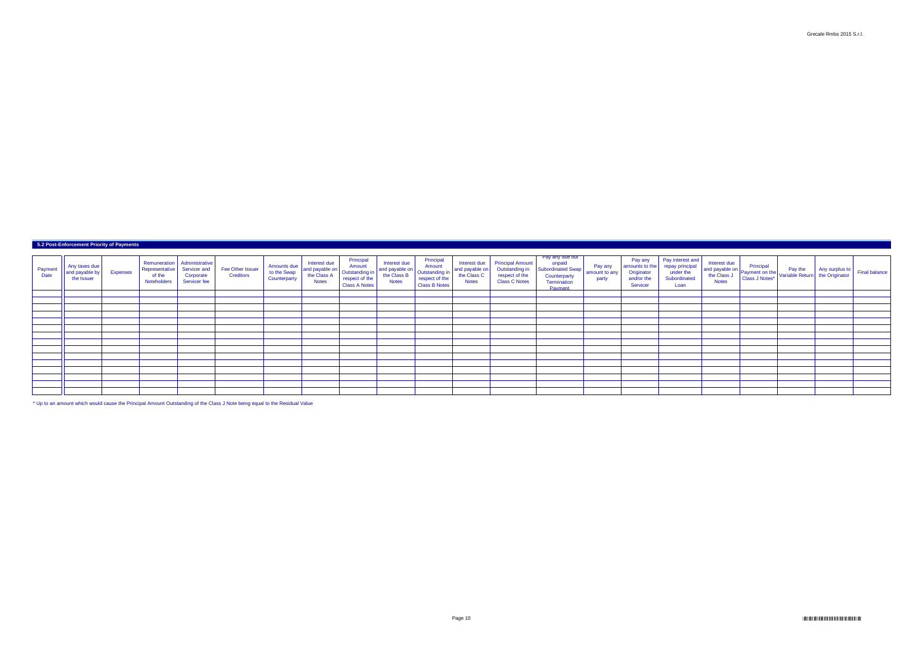| Payment<br>Date | Any taxes due<br>$\mathsf{T}$ I and payable by $\mathsf{I}$<br>the Issuer | <b>Expenses</b> | Representative<br>of the<br>Noteholders | Remuneration   Administrative<br>Servicer and<br>Corporate<br>Servicer fee | Fee Other Issuer<br><b>Creditors</b> | Amounts due<br>to the Swap<br>Counterparty | Interest due<br>and payable on<br>the Class A<br><b>Notes</b> | Principal<br>Amount<br>Outstanding in<br>respect of the<br><b>Class A Notes</b> | Interest due<br>and payable on<br>the Class B<br><b>Notes</b> | Principal<br>Amount<br>Outstanding in<br>respect of the<br>Class B Notes | Interest due<br>and payable on<br>the Class C<br><b>Notes</b> | Principal Amount <sup>'</sup><br>Outstanding in<br>respect of the<br><b>Class C Notes</b> | Pay any due but<br>unpaid<br>Subordinated Swap<br>Counterparty<br>Termination<br>Payment | Pay any<br>amount to any<br>party | Pay any<br>amounts to the<br>Originator<br>and/or the<br>Servicer | Pay interest and<br>repay principal<br>under the<br>Subordinated<br>Loan | Interest due<br><b>Notes</b> | and payable on<br>the Class J<br>Notes Notes Notes Notes Notes Notes Notes Notes Notes Notes Notes Notes Notes Notes Notes Notes Notes Notes Notes Notes Notes Notes Notes Notes Notes Notes Notes Notes Notes Notes Notes Notes Not | Any surplus to $\vert$ the Originator | Final balance |
|-----------------|---------------------------------------------------------------------------|-----------------|-----------------------------------------|----------------------------------------------------------------------------|--------------------------------------|--------------------------------------------|---------------------------------------------------------------|---------------------------------------------------------------------------------|---------------------------------------------------------------|--------------------------------------------------------------------------|---------------------------------------------------------------|-------------------------------------------------------------------------------------------|------------------------------------------------------------------------------------------|-----------------------------------|-------------------------------------------------------------------|--------------------------------------------------------------------------|------------------------------|--------------------------------------------------------------------------------------------------------------------------------------------------------------------------------------------------------------------------------------|---------------------------------------|---------------|
|                 |                                                                           |                 |                                         |                                                                            |                                      |                                            |                                                               |                                                                                 |                                                               |                                                                          |                                                               |                                                                                           |                                                                                          |                                   |                                                                   |                                                                          |                              |                                                                                                                                                                                                                                      |                                       |               |
|                 |                                                                           |                 |                                         |                                                                            |                                      |                                            |                                                               |                                                                                 |                                                               |                                                                          |                                                               |                                                                                           |                                                                                          |                                   |                                                                   |                                                                          |                              |                                                                                                                                                                                                                                      |                                       |               |
|                 |                                                                           |                 |                                         |                                                                            |                                      |                                            |                                                               |                                                                                 |                                                               |                                                                          |                                                               |                                                                                           |                                                                                          |                                   |                                                                   |                                                                          |                              |                                                                                                                                                                                                                                      |                                       |               |
|                 |                                                                           |                 |                                         |                                                                            |                                      |                                            |                                                               |                                                                                 |                                                               |                                                                          |                                                               |                                                                                           |                                                                                          |                                   |                                                                   |                                                                          |                              |                                                                                                                                                                                                                                      |                                       |               |
|                 |                                                                           |                 |                                         |                                                                            |                                      |                                            |                                                               |                                                                                 |                                                               |                                                                          |                                                               |                                                                                           |                                                                                          |                                   |                                                                   |                                                                          |                              |                                                                                                                                                                                                                                      |                                       |               |
|                 |                                                                           |                 |                                         |                                                                            |                                      |                                            |                                                               |                                                                                 |                                                               |                                                                          |                                                               |                                                                                           |                                                                                          |                                   |                                                                   |                                                                          |                              |                                                                                                                                                                                                                                      |                                       |               |
|                 |                                                                           |                 |                                         |                                                                            |                                      |                                            |                                                               |                                                                                 |                                                               |                                                                          |                                                               |                                                                                           |                                                                                          |                                   |                                                                   |                                                                          |                              |                                                                                                                                                                                                                                      |                                       |               |
|                 |                                                                           |                 |                                         |                                                                            |                                      |                                            |                                                               |                                                                                 |                                                               |                                                                          |                                                               |                                                                                           |                                                                                          |                                   |                                                                   |                                                                          |                              |                                                                                                                                                                                                                                      |                                       |               |
|                 |                                                                           |                 |                                         |                                                                            |                                      |                                            |                                                               |                                                                                 |                                                               |                                                                          |                                                               |                                                                                           |                                                                                          |                                   |                                                                   |                                                                          |                              |                                                                                                                                                                                                                                      |                                       |               |
|                 |                                                                           |                 |                                         |                                                                            |                                      |                                            |                                                               |                                                                                 |                                                               |                                                                          |                                                               |                                                                                           |                                                                                          |                                   |                                                                   |                                                                          |                              |                                                                                                                                                                                                                                      |                                       |               |
|                 |                                                                           |                 |                                         |                                                                            |                                      |                                            |                                                               |                                                                                 |                                                               |                                                                          |                                                               |                                                                                           |                                                                                          |                                   |                                                                   |                                                                          |                              |                                                                                                                                                                                                                                      |                                       |               |
|                 |                                                                           |                 |                                         |                                                                            |                                      |                                            |                                                               |                                                                                 |                                                               |                                                                          |                                                               |                                                                                           |                                                                                          |                                   |                                                                   |                                                                          |                              |                                                                                                                                                                                                                                      |                                       |               |
|                 |                                                                           |                 |                                         |                                                                            |                                      |                                            |                                                               |                                                                                 |                                                               |                                                                          |                                                               |                                                                                           |                                                                                          |                                   |                                                                   |                                                                          |                              |                                                                                                                                                                                                                                      |                                       |               |
|                 |                                                                           |                 |                                         |                                                                            |                                      |                                            |                                                               |                                                                                 |                                                               |                                                                          |                                                               |                                                                                           |                                                                                          |                                   |                                                                   |                                                                          |                              |                                                                                                                                                                                                                                      |                                       |               |
|                 |                                                                           |                 |                                         |                                                                            |                                      |                                            |                                                               |                                                                                 |                                                               |                                                                          |                                                               |                                                                                           |                                                                                          |                                   |                                                                   |                                                                          |                              |                                                                                                                                                                                                                                      |                                       |               |

\* Up to an amount which would cause the Principal Amount Outstanding of the Class J Note being equal to the Residual Value

## **5.2 Post-Enforcement Priority of Payments**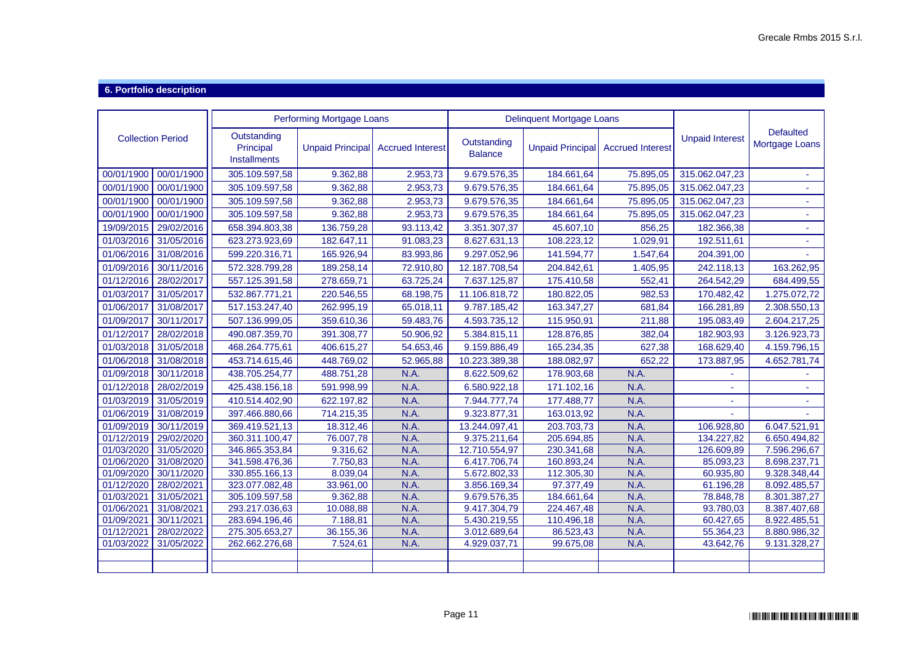### **6. Portfolio description**

|                          |            |                                                 | <b>Performing Mortgage Loans</b> |                         |                               | <b>Delinquent Mortgage Loans</b> |                         |                        |                                    |
|--------------------------|------------|-------------------------------------------------|----------------------------------|-------------------------|-------------------------------|----------------------------------|-------------------------|------------------------|------------------------------------|
| <b>Collection Period</b> |            | Outstanding<br>Principal<br><b>Installments</b> | <b>Unpaid Principal</b>          | <b>Accrued Interest</b> | Outstanding<br><b>Balance</b> | <b>Unpaid Principal</b>          | <b>Accrued Interest</b> | <b>Unpaid Interest</b> | <b>Defaulted</b><br>Mortgage Loans |
| 00/01/1900               | 00/01/1900 | 305.109.597,58                                  | 9.362,88                         | 2.953,73                | 9.679.576,35                  | 184.661,64                       | 75.895,05               | 315.062.047,23         |                                    |
| 00/01/1900               | 00/01/1900 | 305.109.597,58                                  | 9.362,88                         | 2.953,73                | 9.679.576,35                  | 184.661,64                       | 75.895,05               | 315.062.047,23         |                                    |
| 00/01/1900               | 00/01/1900 | 305.109.597,58                                  | 9.362,88                         | 2.953,73                | 9.679.576,35                  | 184.661,64                       | 75.895,05               | 315.062.047,23         |                                    |
| 00/01/1900               | 00/01/1900 | 305.109.597,58                                  | 9.362,88                         | 2.953,73                | 9.679.576,35                  | 184.661,64                       | 75.895,05               | 315.062.047,23         |                                    |
| 19/09/2015               | 29/02/2016 | 658.394.803,38                                  | 136.759,28                       | 93.113,42               | 3.351.307,37                  | 45.607,10                        | 856,25                  | 182.366,38             | ä,                                 |
| 01/03/2016               | 31/05/2016 | 623.273.923,69                                  | 182.647,11                       | 91.083,23               | 8.627.631,13                  | 108.223,12                       | 1.029,91                | 192.511,61             |                                    |
| 01/06/2016               | 31/08/2016 | 599.220.316,71                                  | 165.926,94                       | 83.993,86               | 9.297.052,96                  | 141.594,77                       | 1.547,64                | 204.391,00             |                                    |
| 01/09/2016               | 30/11/2016 | 572.328.799,28                                  | 189.258,14                       | 72.910,80               | 12.187.708,54                 | 204.842,61                       | 1.405,95                | 242.118,13             | 163.262,95                         |
| 01/12/2016               | 28/02/2017 | 557.125.391,58                                  | 278.659,71                       | 63.725,24               | 7.637.125,87                  | 175.410,58                       | 552,41                  | 264.542,29             | 684.499,55                         |
| 01/03/2017               | 31/05/2017 | 532.867.771,21                                  | 220.546,55                       | 68.198,75               | 11.106.818,72                 | 180.822,05                       | 982,53                  | 170.482,42             | 1.275.072,72                       |
| 01/06/2017               | 31/08/2017 | 517.153.247,40                                  | 262.995,19                       | 65.018,11               | 9.787.185,42                  | 163.347,27                       | 681,84                  | 166.281,89             | 2.308.550,13                       |
| 01/09/2017               | 30/11/2017 | 507.136.999,05                                  | 359.610,36                       | 59.483,76               | 4.593.735,12                  | 115.950,91                       | 211,88                  | 195.083,49             | 2.604.217,25                       |
| 01/12/2017               | 28/02/2018 | 490.087.359,70                                  | 391.308,77                       | 50.906,92               | 5.384.815,11                  | 128.876,85                       | 382,04                  | 182.903,93             | 3.126.923,73                       |
| 01/03/2018               | 31/05/2018 | 468.264.775,61                                  | 406.615,27                       | 54.653,46               | 9.159.886,49                  | 165.234,35                       | 627,38                  | 168.629,40             | 4.159.796,15                       |
| 01/06/2018               | 31/08/2018 | 453.714.615,46                                  | 448.769,02                       | 52.965,88               | 10.223.389,38                 | 188.082,97                       | 652,22                  | 173.887,95             | 4.652.781,74                       |
| 01/09/2018               | 30/11/2018 | 438.705.254,77                                  | 488.751,28                       | N.A.                    | 8.622.509,62                  | 178.903,68                       | N.A.                    |                        |                                    |
| 01/12/2018               | 28/02/2019 | 425.438.156,18                                  | 591.998,99                       | N.A.                    | 6.580.922,18                  | 171.102,16                       | N.A                     |                        |                                    |
| 01/03/2019               | 31/05/2019 | 410.514.402,90                                  | 622.197,82                       | N.A.                    | 7.944.777,74                  | 177.488,77                       | N.A                     |                        |                                    |
| 01/06/2019               | 31/08/2019 | 397.466.880,66                                  | 714.215,35                       | N.A.                    | 9.323.877,31                  | 163.013,92                       | N.A.                    |                        |                                    |
| 01/09/2019               | 30/11/2019 | 369.419.521,13                                  | 18.312,46                        | N.A.                    | 13.244.097,41                 | 203.703,73                       | N.A.                    | 106.928,80             | 6.047.521,91                       |
| 01/12/2019 29/02/2020    |            | 360.311.100,47                                  | 76.007,78                        | N.A.                    | 9.375.211,64                  | 205.694,85                       | N.A.                    | 134.227,82             | 6.650.494,82                       |
| 01/03/2020               | 31/05/2020 | 346.865.353,84                                  | 9.316,62                         | N.A.                    | 12.710.554,97                 | 230.341,68                       | N.A.                    | 126.609,89             | 7.596.296,67                       |
| 01/06/2020               | 31/08/2020 | 341.598.476,36                                  | 7.750,83                         | N.A.                    | 6.417.706,74                  | 160.893,24                       | N.A.                    | 85.093,23              | 8.698.237,71                       |
| 01/09/2020               | 30/11/2020 | 330.855.166,13                                  | 8.039,04                         | N.A.                    | 5.672.802,33                  | 112.305,30                       | N.A.                    | 60.935,80              | 9.328.348,44                       |
| $\overline{01}/12/2020$  | 28/02/2021 | 323.077.082,48                                  | 33.961,00                        | N.A.                    | 3.856.169,34                  | 97.377,49                        | N.A.                    | 61.196,28              | 8.092.485,57                       |
| 01/03/2021               | 31/05/2021 | 305.109.597,58                                  | 9.362,88                         | N.A                     | 9.679.576,35                  | 184.661,64                       | N.A                     | 78.848,78              | 8.301.387,27                       |
| 01/06/2021               | 31/08/2021 | 293.217.036,63                                  | 10.088,88                        | N.A.                    | 9.417.304,79                  | 224.467,48                       | N.A                     | 93.780,03              | 8.387.407,68                       |
| 01/09/2021               | 30/11/2021 | 283.694.196,46                                  | 7.188,81                         | N.A.                    | 5.430.219,55                  | 110.496,18                       | N.A.                    | 60.427,65              | 8.922.485,51                       |
| 01/12/2021               | 28/02/2022 | 275.305.653,27                                  | 36.155,36                        | N.A.                    | 3.012.689,64                  | 86.523,43                        | N.A.                    | 55.364,23              | 8.880.986,32                       |
| 01/03/2022               | 31/05/2022 | 262.662.276,68                                  | 7.524,61                         | N.A.                    | 4.929.037,71                  | 99.675,08                        | N.A.                    | 43.642,76              | 9.131.328,27                       |
|                          |            |                                                 |                                  |                         |                               |                                  |                         |                        |                                    |
|                          |            |                                                 |                                  |                         |                               |                                  |                         |                        |                                    |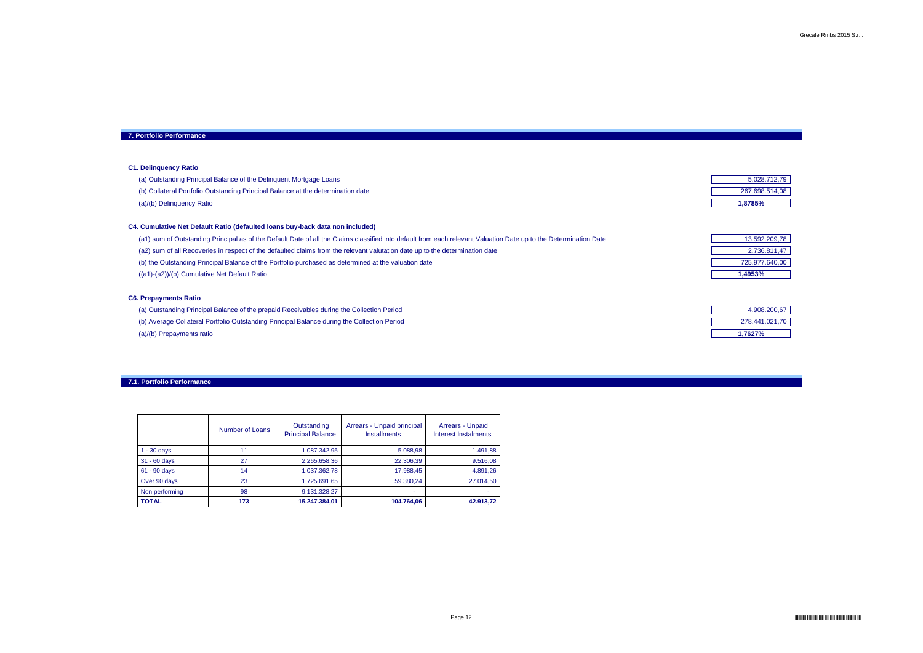| 5.028.712,79   |
|----------------|
| 267.698.514,08 |
| 1,8785%        |

| 13.592.209,78  |  |  |  |  |  |
|----------------|--|--|--|--|--|
| 2.736.811,47   |  |  |  |  |  |
| 725.977.640,00 |  |  |  |  |  |
| 1.4953%        |  |  |  |  |  |

| 4.908.200,67   |  |  |  |  |
|----------------|--|--|--|--|
| 278.441.021,70 |  |  |  |  |
| 1,7627%        |  |  |  |  |

## **7. Portfolio Performance**

## **C1. Delinquency Ratio**

- (a) Outstanding Principal Balance of the Delinquent Mortgage Loans
- (b) Collateral Portfolio Outstanding Principal Balance at the determination date

(a)/(b) Delinquency Ratio **1,8785%**

## **C4. Cumulative Net Default Ratio (defaulted loans buy-back data non included)**

(a1) sum of Outstanding Principal as of the Default Date of all the Claims classified into default from each relevant Valuation Date up to the Determination Date (a2) sum of all Recoveries in respect of the defaulted claims from the relevant valutation date up to the determination date (b) the Outstanding Principal Balance of the Portfolio purchased as determined at the valuation date ((a1)-(a2))/(b) Cumulative Net Default Ratio **1,4953%**

- (a) Outstanding Principal Balance of the prepaid Receivables during the Collection Period
- (b) Average Collateral Portfolio Outstanding Principal Balance during the Collection Period
- (a)/(b) Prepayments ratio **1,7627%**

## **C6. Prepayments Ratio**

|                | <b>Number of Loans</b> | Outstanding<br><b>Principal Balance</b> | Arrears - Unpaid principal<br><b>Installments</b> | <b>Arrears - Unpaid</b><br><b>Interest Instalments</b> |
|----------------|------------------------|-----------------------------------------|---------------------------------------------------|--------------------------------------------------------|
| $1 - 30$ days  | 11                     | 1.087.342,95                            | 5.088,98                                          | 1.491,88                                               |
| 31 - 60 days   | 27                     | 2.265.658,36                            | 22.306,39                                         | 9.516,08                                               |
| 61 - 90 days   | 14                     | 1.037.362,78                            | 17.988,45                                         | 4.891,26                                               |
| Over 90 days   | 23                     | 1.725.691,65                            | 59.380,24                                         | 27.014,50                                              |
| Non performing | 98                     | 9.131.328,27                            |                                                   |                                                        |
| <b>TOTAL</b>   | 173                    | 15.247.384,01                           | 104.764,06                                        | 42.913,72                                              |

## **7.1. Portfolio Performance**